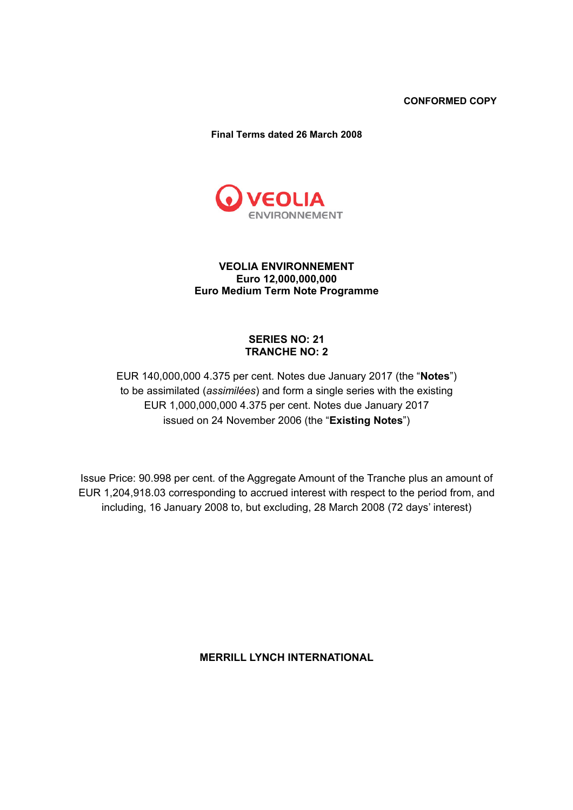**CONFORMED COPY** 

**Final Terms dated 26 March 2008** 



# **VEOLIA ENVIRONNEMENT Euro 12,000,000,000 Euro Medium Term Note Programme**

# **SERIES NO: 21 TRANCHE NO: 2**

EUR 140,000,000 4.375 per cent. Notes due January 2017 (the "**Notes**") to be assimilated (*assimilées*) and form a single series with the existing EUR 1,000,000,000 4.375 per cent. Notes due January 2017 issued on 24 November 2006 (the "**Existing Notes**")

Issue Price: 90.998 per cent. of the Aggregate Amount of the Tranche plus an amount of EUR 1,204,918.03 corresponding to accrued interest with respect to the period from, and including, 16 January 2008 to, but excluding, 28 March 2008 (72 days' interest)

**MERRILL LYNCH INTERNATIONAL**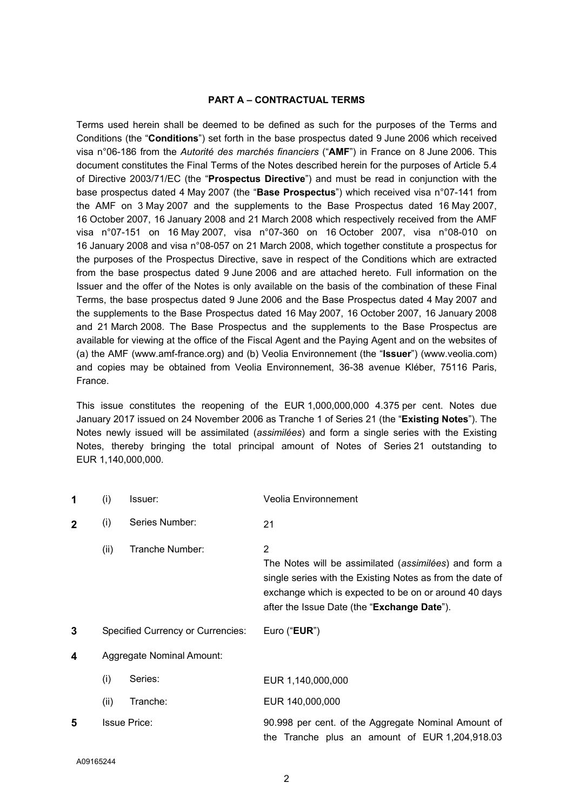#### **PART A – CONTRACTUAL TERMS**

Terms used herein shall be deemed to be defined as such for the purposes of the Terms and Conditions (the "**Conditions**") set forth in the base prospectus dated 9 June 2006 which received visa n°06-186 from the *Autorité des marchés financiers* ("**AMF**") in France on 8 June 2006. This document constitutes the Final Terms of the Notes described herein for the purposes of Article 5.4 of Directive 2003/71/EC (the "**Prospectus Directive**") and must be read in conjunction with the base prospectus dated 4 May 2007 (the "**Base Prospectus**") which received visa n°07-141 from the AMF on 3 May 2007 and the supplements to the Base Prospectus dated 16 May 2007, 16 October 2007, 16 January 2008 and 21 March 2008 which respectively received from the AMF visa n°07-151 on 16 May 2007, visa n°07-360 on 16 October 2007, visa n°08-010 on 16 January 2008 and visa n°08-057 on 21 March 2008, which together constitute a prospectus for the purposes of the Prospectus Directive, save in respect of the Conditions which are extracted from the base prospectus dated 9 June 2006 and are attached hereto. Full information on the Issuer and the offer of the Notes is only available on the basis of the combination of these Final Terms, the base prospectus dated 9 June 2006 and the Base Prospectus dated 4 May 2007 and the supplements to the Base Prospectus dated 16 May 2007, 16 October 2007, 16 January 2008 and 21 March 2008. The Base Prospectus and the supplements to the Base Prospectus are available for viewing at the office of the Fiscal Agent and the Paying Agent and on the websites of (a) the AMF (www.amf-france.org) and (b) Veolia Environnement (the "**Issuer**") (www.veolia.com) and copies may be obtained from Veolia Environnement, 36-38 avenue Kléber, 75116 Paris, France.

This issue constitutes the reopening of the EUR 1,000,000,000 4.375 per cent. Notes due January 2017 issued on 24 November 2006 as Tranche 1 of Series 21 (the "**Existing Notes**"). The Notes newly issued will be assimilated (*assimilées*) and form a single series with the Existing Notes, thereby bringing the total principal amount of Notes of Series 21 outstanding to EUR 1,140,000,000.

| 1           | (i)                                      | Issuer:                   | <b>Veolia Environnement</b>                                                                                                                                                                                                     |
|-------------|------------------------------------------|---------------------------|---------------------------------------------------------------------------------------------------------------------------------------------------------------------------------------------------------------------------------|
| $\mathbf 2$ | (i)                                      | Series Number:            | 21                                                                                                                                                                                                                              |
|             | (ii)                                     | Tranche Number:           | 2<br>The Notes will be assimilated (assimilées) and form a<br>single series with the Existing Notes as from the date of<br>exchange which is expected to be on or around 40 days<br>after the Issue Date (the "Exchange Date"). |
|             | <b>Specified Currency or Currencies:</b> |                           |                                                                                                                                                                                                                                 |
| 3           |                                          |                           | Euro (" <b>EUR</b> ")                                                                                                                                                                                                           |
| 4           |                                          | Aggregate Nominal Amount: |                                                                                                                                                                                                                                 |
|             | (i)                                      | Series:                   | EUR 1,140,000,000                                                                                                                                                                                                               |
|             | (ii)                                     | Tranche:                  | EUR 140,000,000                                                                                                                                                                                                                 |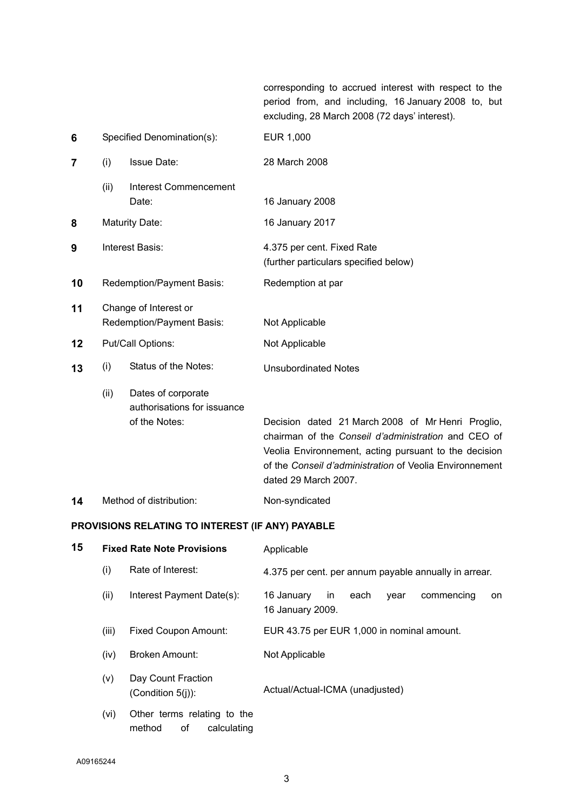corresponding to accrued interest with respect to the period from, and including, 16 January 2008 to, but excluding, 28 March 2008 (72 days' interest).

| 6              | Specified Denomination(s):                         |                                                                    | EUR 1,000                                                                                                                                                                                                                                            |
|----------------|----------------------------------------------------|--------------------------------------------------------------------|------------------------------------------------------------------------------------------------------------------------------------------------------------------------------------------------------------------------------------------------------|
| $\overline{7}$ | (i)                                                | <b>Issue Date:</b>                                                 | 28 March 2008                                                                                                                                                                                                                                        |
|                | (ii)                                               | <b>Interest Commencement</b><br>Date:                              | 16 January 2008                                                                                                                                                                                                                                      |
| 8              |                                                    | <b>Maturity Date:</b>                                              | 16 January 2017                                                                                                                                                                                                                                      |
| 9              | Interest Basis:                                    |                                                                    | 4.375 per cent. Fixed Rate<br>(further particulars specified below)                                                                                                                                                                                  |
| 10             |                                                    | Redemption/Payment Basis:                                          | Redemption at par                                                                                                                                                                                                                                    |
| 11             | Change of Interest or<br>Redemption/Payment Basis: |                                                                    | Not Applicable                                                                                                                                                                                                                                       |
| 12             | Put/Call Options:                                  |                                                                    | Not Applicable                                                                                                                                                                                                                                       |
| 13             | (i)                                                | Status of the Notes:                                               | <b>Unsubordinated Notes</b>                                                                                                                                                                                                                          |
|                | (ii)                                               | Dates of corporate<br>authorisations for issuance<br>of the Notes: | Decision dated 21 March 2008 of Mr Henri Proglio,<br>chairman of the Conseil d'administration and CEO of<br>Veolia Environnement, acting pursuant to the decision<br>of the Conseil d'administration of Veolia Environnement<br>dated 29 March 2007. |
| 14             |                                                    | Method of distribution:                                            | Non-syndicated                                                                                                                                                                                                                                       |

# **PROVISIONS RELATING TO INTEREST (IF ANY) PAYABLE**

| 15 |       | <b>Fixed Rate Note Provisions</b>                          | Applicable                                                                |
|----|-------|------------------------------------------------------------|---------------------------------------------------------------------------|
|    | (i)   | Rate of Interest:                                          | 4.375 per cent. per annum payable annually in arrear.                     |
|    | (ii)  | Interest Payment Date(s):                                  | 16 January<br>each<br>commencing<br>in<br>vear<br>on.<br>16 January 2009. |
|    | (iii) | Fixed Coupon Amount:                                       | EUR 43.75 per EUR 1,000 in nominal amount.                                |
|    | (iv)  | <b>Broken Amount:</b>                                      | Not Applicable                                                            |
|    | (v)   | Day Count Fraction<br>(Condition $5(i)$ ):                 | Actual/Actual-ICMA (unadjusted)                                           |
|    | (vi)  | Other terms relating to the<br>οf<br>method<br>calculating |                                                                           |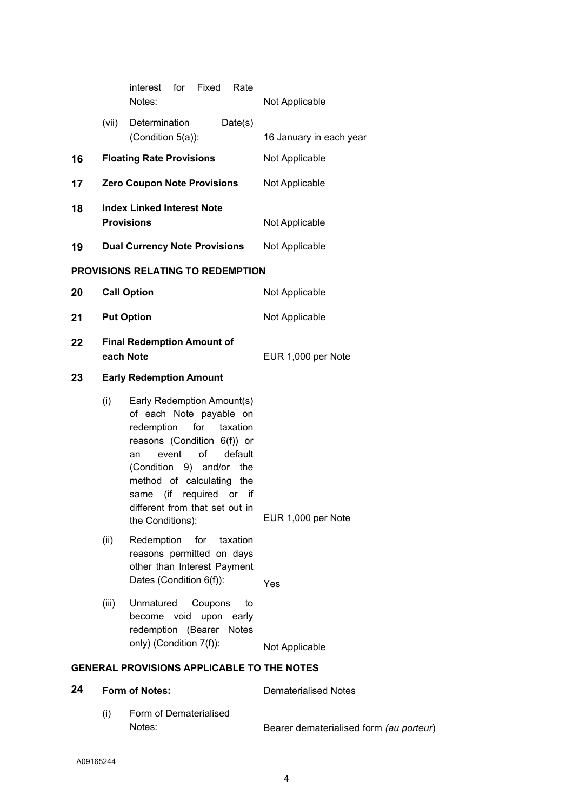|    |           | interest<br>for<br>Fixed<br>Rate<br>Notes:                                                                                                                                                                                                                                                            | Not Applicable              |
|----|-----------|-------------------------------------------------------------------------------------------------------------------------------------------------------------------------------------------------------------------------------------------------------------------------------------------------------|-----------------------------|
|    | (vii)     | Determination<br>Date(s)                                                                                                                                                                                                                                                                              |                             |
|    |           | (Condition 5(a)):                                                                                                                                                                                                                                                                                     | 16 January in each year     |
| 16 |           | <b>Floating Rate Provisions</b>                                                                                                                                                                                                                                                                       | Not Applicable              |
| 17 |           | <b>Zero Coupon Note Provisions</b>                                                                                                                                                                                                                                                                    | Not Applicable              |
| 18 |           | <b>Index Linked Interest Note</b><br><b>Provisions</b>                                                                                                                                                                                                                                                | Not Applicable              |
| 19 |           | <b>Dual Currency Note Provisions</b>                                                                                                                                                                                                                                                                  | Not Applicable              |
|    |           | <b>PROVISIONS RELATING TO REDEMPTION</b>                                                                                                                                                                                                                                                              |                             |
| 20 |           | <b>Call Option</b>                                                                                                                                                                                                                                                                                    | Not Applicable              |
| 21 |           | <b>Put Option</b>                                                                                                                                                                                                                                                                                     | Not Applicable              |
| 22 | each Note | <b>Final Redemption Amount of</b>                                                                                                                                                                                                                                                                     | EUR 1,000 per Note          |
| 23 |           | <b>Early Redemption Amount</b>                                                                                                                                                                                                                                                                        |                             |
|    | (i)       | Early Redemption Amount(s)<br>of each Note payable on<br>redemption<br>for<br>taxation<br>reasons (Condition 6(f)) or<br>default<br>of<br>event<br>an<br>(Condition 9) and/or the<br>method of calculating the<br>required or if<br>(if<br>same<br>different from that set out in<br>the Conditions): | EUR 1,000 per Note          |
|    | (ii)      | Redemption<br>for<br>taxation<br>reasons permitted on days<br>other than Interest Payment<br>Dates (Condition 6(f)):                                                                                                                                                                                  | Yes                         |
|    | (iii)     | Unmatured<br>Coupons<br>to<br>become void<br>upon<br>early<br>redemption (Bearer Notes<br>only) (Condition 7(f)):                                                                                                                                                                                     | Not Applicable              |
|    |           | <b>GENERAL PROVISIONS APPLICABLE TO THE NOTES</b>                                                                                                                                                                                                                                                     |                             |
| 24 |           | Form of Notes:                                                                                                                                                                                                                                                                                        | <b>Dematerialised Notes</b> |

(i) Form of Dematerialised Notes: Bearer dematerialised form *(au porteur*)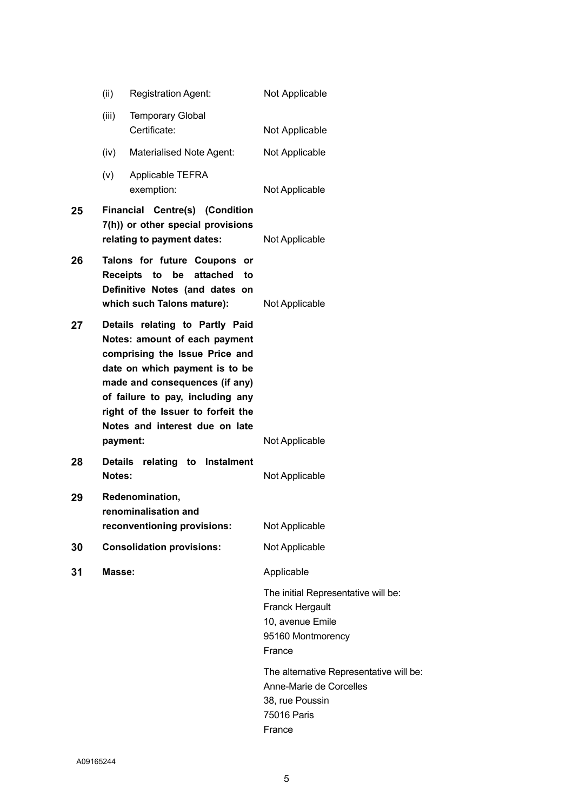|    | (ii)            | <b>Registration Agent:</b>                                                                                                                                                                                                                                                         | Not Applicable                                                                                                   |
|----|-----------------|------------------------------------------------------------------------------------------------------------------------------------------------------------------------------------------------------------------------------------------------------------------------------------|------------------------------------------------------------------------------------------------------------------|
|    | (iii)           | <b>Temporary Global</b><br>Certificate:                                                                                                                                                                                                                                            | Not Applicable                                                                                                   |
|    | (iv)            | Materialised Note Agent:                                                                                                                                                                                                                                                           | Not Applicable                                                                                                   |
|    | (v)             | Applicable TEFRA<br>exemption:                                                                                                                                                                                                                                                     | Not Applicable                                                                                                   |
| 25 |                 | <b>Financial Centre(s) (Condition</b><br>7(h)) or other special provisions<br>relating to payment dates:                                                                                                                                                                           | Not Applicable                                                                                                   |
| 26 | <b>Receipts</b> | Talons for future Coupons or<br>attached<br>to<br>be<br>to<br>Definitive Notes (and dates on<br>which such Talons mature):                                                                                                                                                         | Not Applicable                                                                                                   |
| 27 | payment:        | Details relating to Partly Paid<br>Notes: amount of each payment<br>comprising the Issue Price and<br>date on which payment is to be<br>made and consequences (if any)<br>of failure to pay, including any<br>right of the Issuer to forfeit the<br>Notes and interest due on late | Not Applicable                                                                                                   |
| 28 | Notes:          | Details relating to Instalment                                                                                                                                                                                                                                                     | Not Applicable                                                                                                   |
| 29 |                 | Redenomination,<br>renominalisation and<br>reconventioning provisions:                                                                                                                                                                                                             | Not Applicable                                                                                                   |
| 30 |                 | <b>Consolidation provisions:</b>                                                                                                                                                                                                                                                   | Not Applicable                                                                                                   |
| 31 | Masse:          |                                                                                                                                                                                                                                                                                    | Applicable                                                                                                       |
|    |                 |                                                                                                                                                                                                                                                                                    | The initial Representative will be:<br><b>Franck Hergault</b><br>10, avenue Emile<br>95160 Montmorency<br>France |
|    |                 |                                                                                                                                                                                                                                                                                    | The alternative Representative will be:<br>Anne-Marie de Corcelles<br>38, rue Poussin<br>75016 Paris<br>France   |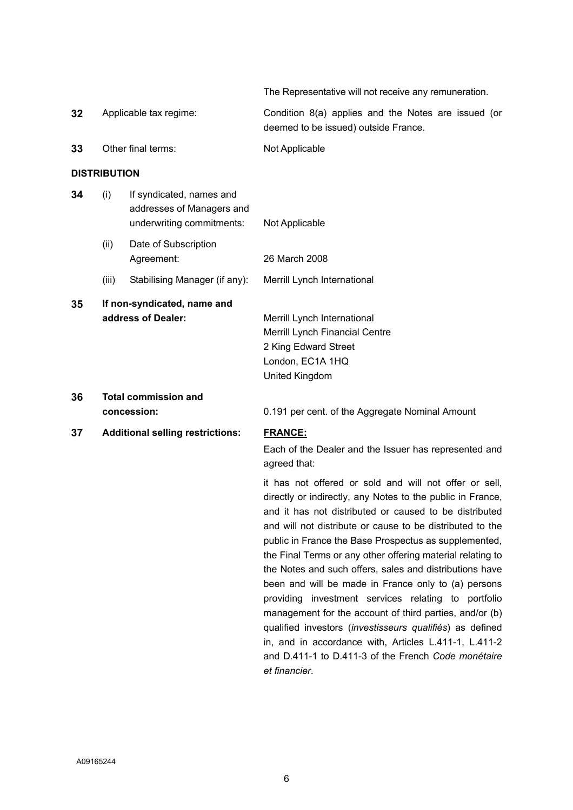The Representative will not receive any remuneration.

management for the account of third parties, and/or (b) qualified investors (*investisseurs qualifiés*) as defined in, and in accordance with, Articles L.411-1, L.411-2 and D.411-1 to D.411-3 of the French *Code monétaire* 

| 32 |                                                        | Applicable tax regime:                                                             | Condition 8(a) applies and the Notes are issued (or<br>deemed to be issued) outside France.                                                                                                                                                                                                                                                                                                                                                                                                                                                       |
|----|--------------------------------------------------------|------------------------------------------------------------------------------------|---------------------------------------------------------------------------------------------------------------------------------------------------------------------------------------------------------------------------------------------------------------------------------------------------------------------------------------------------------------------------------------------------------------------------------------------------------------------------------------------------------------------------------------------------|
| 33 |                                                        | Other final terms:                                                                 | Not Applicable                                                                                                                                                                                                                                                                                                                                                                                                                                                                                                                                    |
|    | <b>DISTRIBUTION</b>                                    |                                                                                    |                                                                                                                                                                                                                                                                                                                                                                                                                                                                                                                                                   |
| 34 | (i)                                                    | If syndicated, names and<br>addresses of Managers and<br>underwriting commitments: | Not Applicable                                                                                                                                                                                                                                                                                                                                                                                                                                                                                                                                    |
|    | (ii)                                                   | Date of Subscription<br>Agreement:                                                 | 26 March 2008                                                                                                                                                                                                                                                                                                                                                                                                                                                                                                                                     |
|    | (iii)                                                  | Stabilising Manager (if any):                                                      | Merrill Lynch International                                                                                                                                                                                                                                                                                                                                                                                                                                                                                                                       |
| 35 |                                                        | If non-syndicated, name and<br>address of Dealer:                                  | Merrill Lynch International<br>Merrill Lynch Financial Centre<br>2 King Edward Street<br>London, EC1A 1HQ<br>United Kingdom                                                                                                                                                                                                                                                                                                                                                                                                                       |
| 36 | <b>Total commission and</b>                            |                                                                                    | 0.191 per cent. of the Aggregate Nominal Amount                                                                                                                                                                                                                                                                                                                                                                                                                                                                                                   |
| 37 | concession:<br><b>Additional selling restrictions:</b> |                                                                                    | <b>FRANCE:</b><br>Each of the Dealer and the Issuer has represented and<br>agreed that:                                                                                                                                                                                                                                                                                                                                                                                                                                                           |
|    |                                                        |                                                                                    | it has not offered or sold and will not offer or sell,<br>directly or indirectly, any Notes to the public in France,<br>and it has not distributed or caused to be distributed<br>and will not distribute or cause to be distributed to the<br>public in France the Base Prospectus as supplemented,<br>the Final Terms or any other offering material relating to<br>the Notes and such offers, sales and distributions have<br>been and will be made in France only to (a) persons<br>investment services relating to<br>providing<br>portfolio |

*et financier*.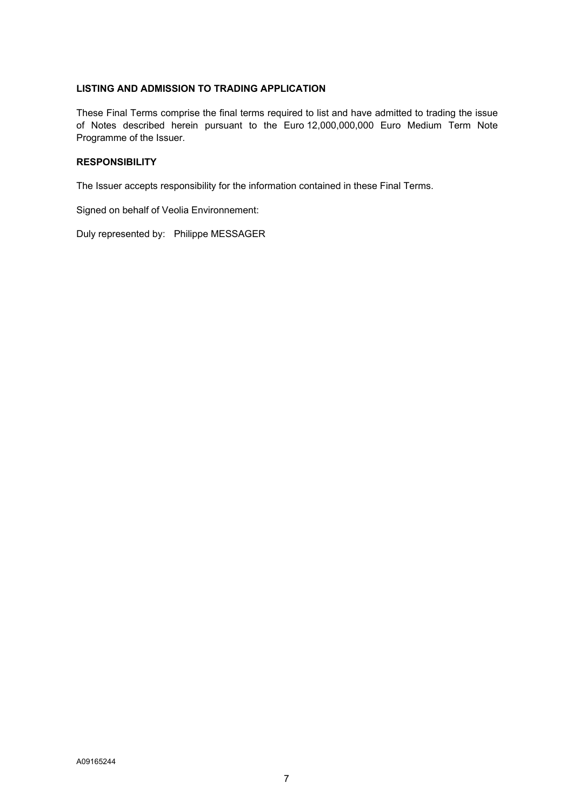#### **LISTING AND ADMISSION TO TRADING APPLICATION**

These Final Terms comprise the final terms required to list and have admitted to trading the issue of Notes described herein pursuant to the Euro 12,000,000,000 Euro Medium Term Note Programme of the Issuer.

## **RESPONSIBILITY**

The Issuer accepts responsibility for the information contained in these Final Terms.

Signed on behalf of Veolia Environnement:

Duly represented by: Philippe MESSAGER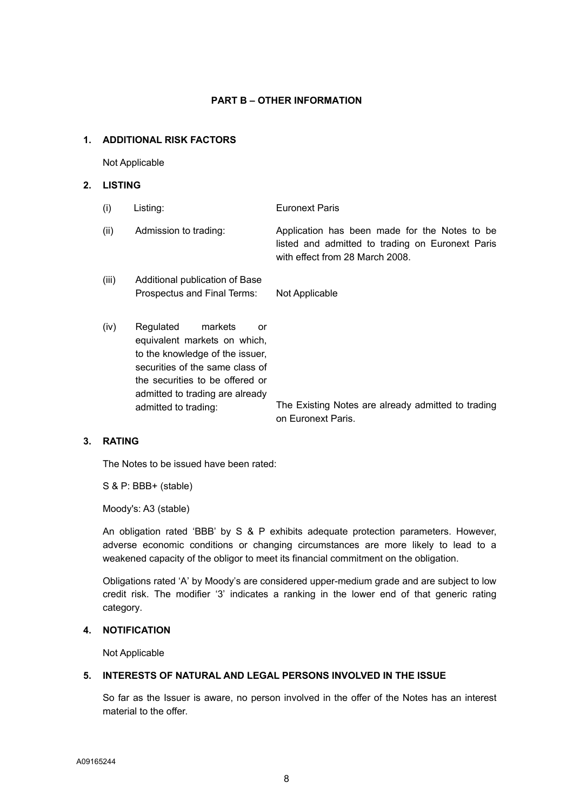## **PART B – OTHER INFORMATION**

## **1. ADDITIONAL RISK FACTORS**

Not Applicable

# **2. LISTING**

| (i)   | Listing:                                                                                                                                                                                                                       | <b>Euronext Paris</b>                                                                                                                |
|-------|--------------------------------------------------------------------------------------------------------------------------------------------------------------------------------------------------------------------------------|--------------------------------------------------------------------------------------------------------------------------------------|
| (ii)  | Admission to trading:                                                                                                                                                                                                          | Application has been made for the Notes to be<br>listed and admitted to trading on Euronext Paris<br>with effect from 28 March 2008. |
| (iii) | Additional publication of Base<br>Prospectus and Final Terms:                                                                                                                                                                  | Not Applicable                                                                                                                       |
| (iv)  | Regulated<br>markets<br>or<br>equivalent markets on which,<br>to the knowledge of the issuer,<br>securities of the same class of<br>the securities to be offered or<br>admitted to trading are already<br>admitted to trading: | The Existing Notes are already admitted to trading<br>on Euronext Paris.                                                             |

## **3. RATING**

The Notes to be issued have been rated:

S & P: BBB+ (stable)

Moody's: A3 (stable)

An obligation rated 'BBB' by S & P exhibits adequate protection parameters. However, adverse economic conditions or changing circumstances are more likely to lead to a weakened capacity of the obligor to meet its financial commitment on the obligation.

Obligations rated 'A' by Moody's are considered upper-medium grade and are subject to low credit risk. The modifier '3' indicates a ranking in the lower end of that generic rating category.

# **4. NOTIFICATION**

Not Applicable

# **5. INTERESTS OF NATURAL AND LEGAL PERSONS INVOLVED IN THE ISSUE**

 So far as the Issuer is aware, no person involved in the offer of the Notes has an interest material to the offer.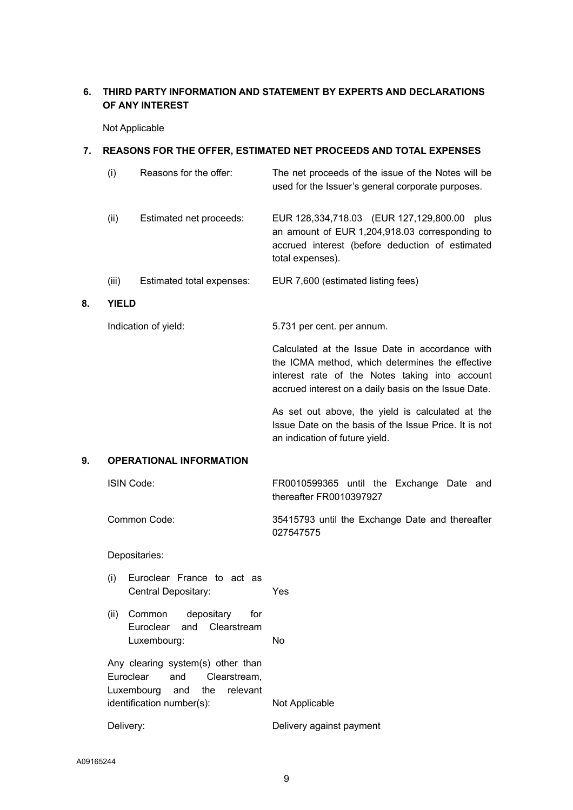# **6. THIRD PARTY INFORMATION AND STATEMENT BY EXPERTS AND DECLARATIONS OF ANY INTEREST**

Not Applicable

#### **7. REASONS FOR THE OFFER, ESTIMATED NET PROCEEDS AND TOTAL EXPENSES**

| (i)   | Reasons for the offer:    | The net proceeds of the issue of the Notes will be<br>used for the Issuer's general corporate purposes.                                                                 |
|-------|---------------------------|-------------------------------------------------------------------------------------------------------------------------------------------------------------------------|
| (ii)  | Estimated net proceeds:   | EUR 128,334,718.03 (EUR 127,129,800.00<br>plus<br>an amount of EUR 1,204,918.03 corresponding to<br>accrued interest (before deduction of estimated<br>total expenses). |
| (iii) | Estimated total expenses: | EUR 7,600 (estimated listing fees)                                                                                                                                      |

#### **8. YIELD**

Indication of yield: 5.731 per cent. per annum.

Calculated at the Issue Date in accordance with the ICMA method, which determines the effective interest rate of the Notes taking into account accrued interest on a daily basis on the Issue Date.

As set out above, the yield is calculated at the Issue Date on the basis of the Issue Price. It is not an indication of future yield.

# **9. OPERATIONAL INFORMATION**

| ISIN Code:                                                                                                                           | FR0010599365 until the Exchange Date and<br>thereafter FR0010397927 |
|--------------------------------------------------------------------------------------------------------------------------------------|---------------------------------------------------------------------|
| Common Code:                                                                                                                         | 35415793 until the Exchange Date and thereafter<br>027547575        |
| Depositaries:                                                                                                                        |                                                                     |
| Euroclear France to act as<br>(i)<br>Central Depositary:                                                                             | Yes                                                                 |
| depositary for<br>(ii)<br>Common<br>Euroclear and Clearstream<br>Luxembourg:                                                         | No.                                                                 |
| Any clearing system(s) other than<br>Euroclear<br>Clearstream,<br>and<br>Luxembourg and the<br>relevant<br>identification number(s): | Not Applicable                                                      |
|                                                                                                                                      |                                                                     |
| Delivery:                                                                                                                            | Delivery against payment                                            |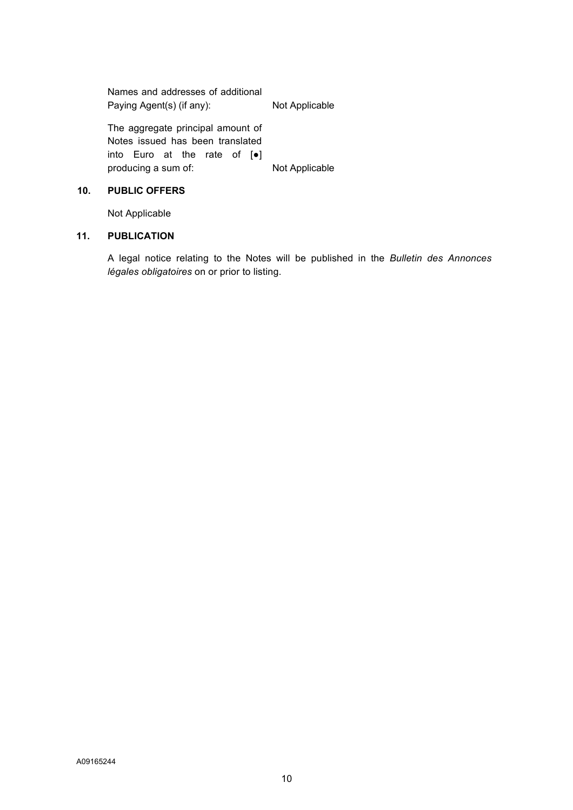Names and addresses of additional Paying Agent(s) (if any): Not Applicable The aggregate principal amount of Notes issued has been translated into Euro at the rate of [●] producing a sum of: Not Applicable

## **10. PUBLIC OFFERS**

Not Applicable

#### **11. PUBLICATION**

A legal notice relating to the Notes will be published in the *Bulletin des Annonces légales obligatoires* on or prior to listing.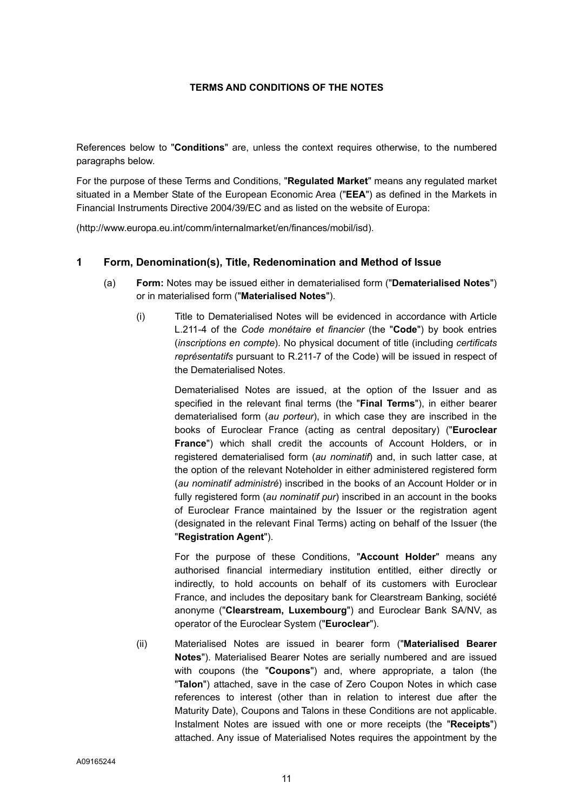## **TERMS AND CONDITIONS OF THE NOTES**

References below to "**Conditions**" are, unless the context requires otherwise, to the numbered paragraphs below.

For the purpose of these Terms and Conditions, "**Regulated Market**" means any regulated market situated in a Member State of the European Economic Area ("**EEA**") as defined in the Markets in Financial Instruments Directive 2004/39/EC and as listed on the website of Europa:

(http://www.europa.eu.int/comm/internalmarket/en/finances/mobil/isd).

# **1 Form, Denomination(s), Title, Redenomination and Method of Issue**

- (a) **Form:** Notes may be issued either in dematerialised form ("**Dematerialised Notes**") or in materialised form ("**Materialised Notes**").
	- (i) Title to Dematerialised Notes will be evidenced in accordance with Article L.211-4 of the *Code monétaire et financier* (the "**Code**") by book entries (*inscriptions en compte*). No physical document of title (including *certificats représentatifs* pursuant to R.211-7 of the Code) will be issued in respect of the Dematerialised Notes.

Dematerialised Notes are issued, at the option of the Issuer and as specified in the relevant final terms (the "**Final Terms**"), in either bearer dematerialised form (*au porteur*), in which case they are inscribed in the books of Euroclear France (acting as central depositary) ("**Euroclear France**") which shall credit the accounts of Account Holders, or in registered dematerialised form (*au nominatif*) and, in such latter case, at the option of the relevant Noteholder in either administered registered form (*au nominatif administré*) inscribed in the books of an Account Holder or in fully registered form (*au nominatif pur*) inscribed in an account in the books of Euroclear France maintained by the Issuer or the registration agent (designated in the relevant Final Terms) acting on behalf of the Issuer (the "**Registration Agent**").

For the purpose of these Conditions, "**Account Holder**" means any authorised financial intermediary institution entitled, either directly or indirectly, to hold accounts on behalf of its customers with Euroclear France, and includes the depositary bank for Clearstream Banking, société anonyme ("**Clearstream, Luxembourg**") and Euroclear Bank SA/NV, as operator of the Euroclear System ("**Euroclear**").

(ii) Materialised Notes are issued in bearer form ("**Materialised Bearer Notes**"). Materialised Bearer Notes are serially numbered and are issued with coupons (the "**Coupons**") and, where appropriate, a talon (the "**Talon**") attached, save in the case of Zero Coupon Notes in which case references to interest (other than in relation to interest due after the Maturity Date), Coupons and Talons in these Conditions are not applicable. Instalment Notes are issued with one or more receipts (the "**Receipts**") attached. Any issue of Materialised Notes requires the appointment by the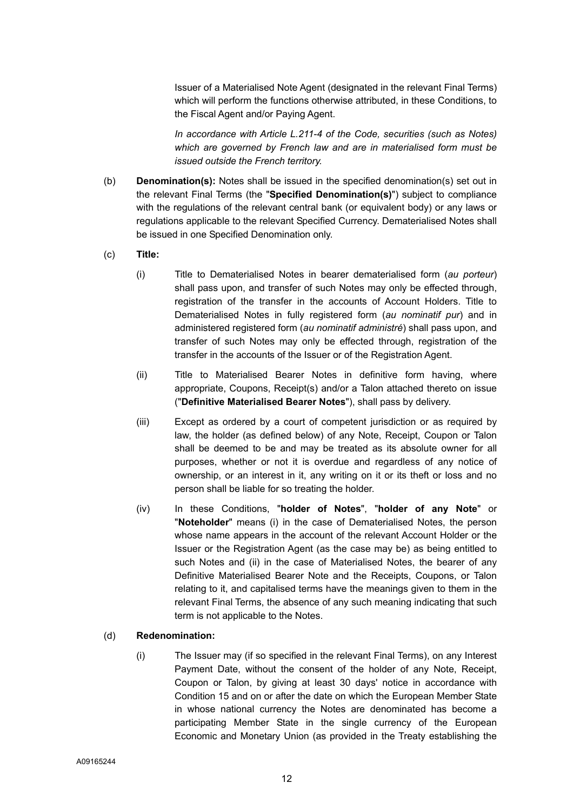Issuer of a Materialised Note Agent (designated in the relevant Final Terms) which will perform the functions otherwise attributed, in these Conditions, to the Fiscal Agent and/or Paying Agent.

*In accordance with Article L.211-4 of the Code, securities (such as Notes) which are governed by French law and are in materialised form must be issued outside the French territory.* 

- (b) **Denomination(s):** Notes shall be issued in the specified denomination(s) set out in the relevant Final Terms (the "**Specified Denomination(s)**") subject to compliance with the regulations of the relevant central bank (or equivalent body) or any laws or regulations applicable to the relevant Specified Currency. Dematerialised Notes shall be issued in one Specified Denomination only.
- (c) **Title:** 
	- (i) Title to Dematerialised Notes in bearer dematerialised form (*au porteur*) shall pass upon, and transfer of such Notes may only be effected through, registration of the transfer in the accounts of Account Holders. Title to Dematerialised Notes in fully registered form (*au nominatif pur*) and in administered registered form (*au nominatif administré*) shall pass upon, and transfer of such Notes may only be effected through, registration of the transfer in the accounts of the Issuer or of the Registration Agent.
	- (ii) Title to Materialised Bearer Notes in definitive form having, where appropriate, Coupons, Receipt(s) and/or a Talon attached thereto on issue ("**Definitive Materialised Bearer Notes**"), shall pass by delivery.
	- (iii) Except as ordered by a court of competent jurisdiction or as required by law, the holder (as defined below) of any Note, Receipt, Coupon or Talon shall be deemed to be and may be treated as its absolute owner for all purposes, whether or not it is overdue and regardless of any notice of ownership, or an interest in it, any writing on it or its theft or loss and no person shall be liable for so treating the holder.
	- (iv) In these Conditions, "**holder of Notes**", "**holder of any Note**" or "**Noteholder**" means (i) in the case of Dematerialised Notes, the person whose name appears in the account of the relevant Account Holder or the Issuer or the Registration Agent (as the case may be) as being entitled to such Notes and (ii) in the case of Materialised Notes, the bearer of any Definitive Materialised Bearer Note and the Receipts, Coupons, or Talon relating to it, and capitalised terms have the meanings given to them in the relevant Final Terms, the absence of any such meaning indicating that such term is not applicable to the Notes.

# (d) **Redenomination:**

(i) The Issuer may (if so specified in the relevant Final Terms), on any Interest Payment Date, without the consent of the holder of any Note, Receipt, Coupon or Talon, by giving at least 30 days' notice in accordance with Condition 15 and on or after the date on which the European Member State in whose national currency the Notes are denominated has become a participating Member State in the single currency of the European Economic and Monetary Union (as provided in the Treaty establishing the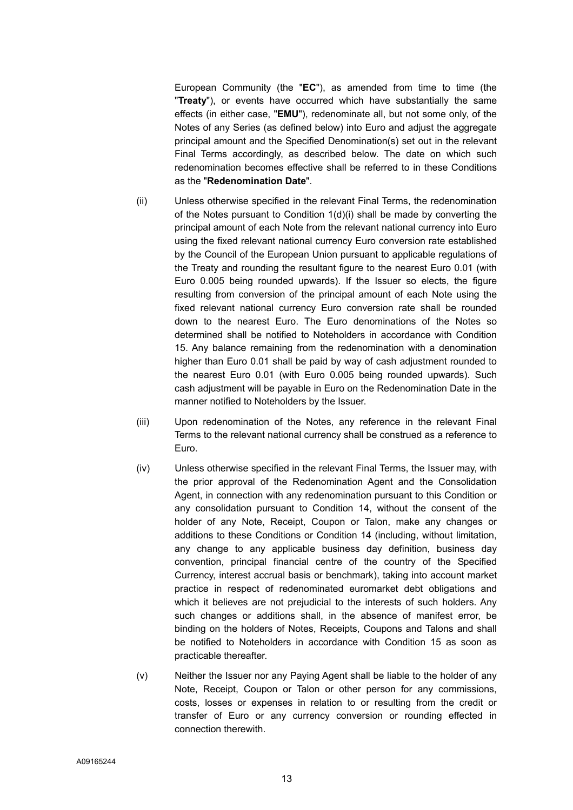European Community (the "**EC**"), as amended from time to time (the "**Treaty**"), or events have occurred which have substantially the same effects (in either case, "**EMU**"), redenominate all, but not some only, of the Notes of any Series (as defined below) into Euro and adjust the aggregate principal amount and the Specified Denomination(s) set out in the relevant Final Terms accordingly, as described below. The date on which such redenomination becomes effective shall be referred to in these Conditions as the "**Redenomination Date**".

- (ii) Unless otherwise specified in the relevant Final Terms, the redenomination of the Notes pursuant to Condition 1(d)(i) shall be made by converting the principal amount of each Note from the relevant national currency into Euro using the fixed relevant national currency Euro conversion rate established by the Council of the European Union pursuant to applicable regulations of the Treaty and rounding the resultant figure to the nearest Euro 0.01 (with Euro 0.005 being rounded upwards). If the Issuer so elects, the figure resulting from conversion of the principal amount of each Note using the fixed relevant national currency Euro conversion rate shall be rounded down to the nearest Euro. The Euro denominations of the Notes so determined shall be notified to Noteholders in accordance with Condition 15. Any balance remaining from the redenomination with a denomination higher than Euro 0.01 shall be paid by way of cash adjustment rounded to the nearest Euro 0.01 (with Euro 0.005 being rounded upwards). Such cash adjustment will be payable in Euro on the Redenomination Date in the manner notified to Noteholders by the Issuer.
- (iii) Upon redenomination of the Notes, any reference in the relevant Final Terms to the relevant national currency shall be construed as a reference to Euro.
- (iv) Unless otherwise specified in the relevant Final Terms, the Issuer may, with the prior approval of the Redenomination Agent and the Consolidation Agent, in connection with any redenomination pursuant to this Condition or any consolidation pursuant to Condition 14, without the consent of the holder of any Note, Receipt, Coupon or Talon, make any changes or additions to these Conditions or Condition 14 (including, without limitation, any change to any applicable business day definition, business day convention, principal financial centre of the country of the Specified Currency, interest accrual basis or benchmark), taking into account market practice in respect of redenominated euromarket debt obligations and which it believes are not prejudicial to the interests of such holders. Any such changes or additions shall, in the absence of manifest error, be binding on the holders of Notes, Receipts, Coupons and Talons and shall be notified to Noteholders in accordance with Condition 15 as soon as practicable thereafter.
- (v) Neither the Issuer nor any Paying Agent shall be liable to the holder of any Note, Receipt, Coupon or Talon or other person for any commissions, costs, losses or expenses in relation to or resulting from the credit or transfer of Euro or any currency conversion or rounding effected in connection therewith.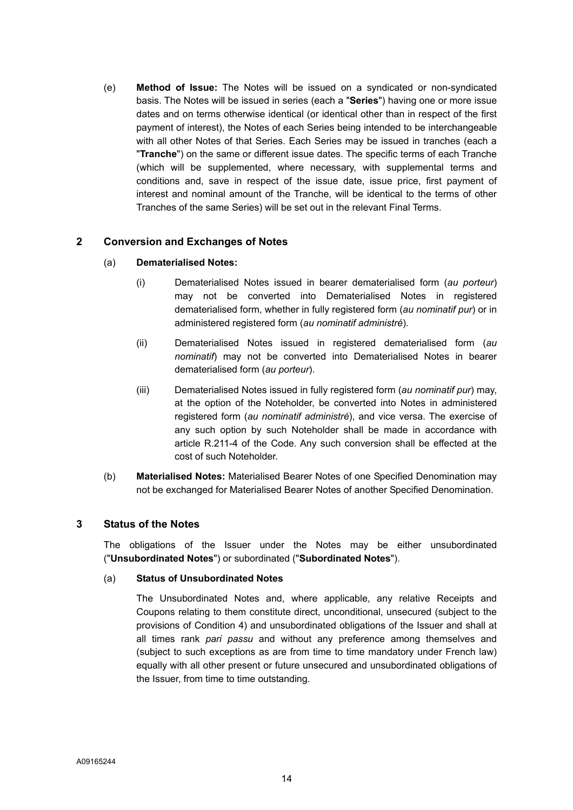(e) **Method of Issue:** The Notes will be issued on a syndicated or non-syndicated basis. The Notes will be issued in series (each a "**Series**") having one or more issue dates and on terms otherwise identical (or identical other than in respect of the first payment of interest), the Notes of each Series being intended to be interchangeable with all other Notes of that Series. Each Series may be issued in tranches (each a "**Tranche**") on the same or different issue dates. The specific terms of each Tranche (which will be supplemented, where necessary, with supplemental terms and conditions and, save in respect of the issue date, issue price, first payment of interest and nominal amount of the Tranche, will be identical to the terms of other Tranches of the same Series) will be set out in the relevant Final Terms.

# **2 Conversion and Exchanges of Notes**

## (a) **Dematerialised Notes:**

- (i) Dematerialised Notes issued in bearer dematerialised form (*au porteur*) may not be converted into Dematerialised Notes in registered dematerialised form, whether in fully registered form (*au nominatif pur*) or in administered registered form (*au nominatif administré*).
- (ii) Dematerialised Notes issued in registered dematerialised form (*au nominatif*) may not be converted into Dematerialised Notes in bearer dematerialised form (*au porteur*).
- (iii) Dematerialised Notes issued in fully registered form (*au nominatif pur*) may, at the option of the Noteholder, be converted into Notes in administered registered form (*au nominatif administré*), and vice versa. The exercise of any such option by such Noteholder shall be made in accordance with article R.211-4 of the Code. Any such conversion shall be effected at the cost of such Noteholder.
- (b) **Materialised Notes:** Materialised Bearer Notes of one Specified Denomination may not be exchanged for Materialised Bearer Notes of another Specified Denomination.

## **3 Status of the Notes**

The obligations of the Issuer under the Notes may be either unsubordinated ("**Unsubordinated Notes**") or subordinated ("**Subordinated Notes**").

## (a) **Status of Unsubordinated Notes**

The Unsubordinated Notes and, where applicable, any relative Receipts and Coupons relating to them constitute direct, unconditional, unsecured (subject to the provisions of Condition 4) and unsubordinated obligations of the Issuer and shall at all times rank *pari passu* and without any preference among themselves and (subject to such exceptions as are from time to time mandatory under French law) equally with all other present or future unsecured and unsubordinated obligations of the Issuer, from time to time outstanding.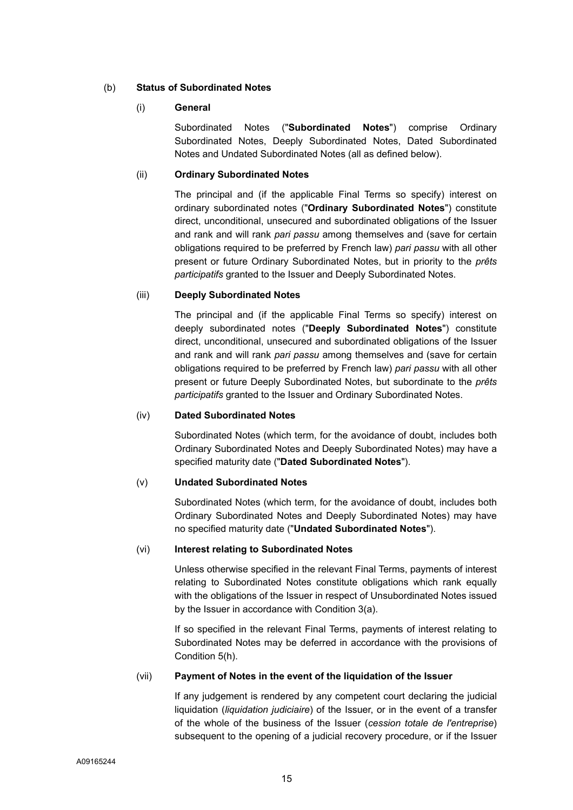# (b) **Status of Subordinated Notes**

## (i) **General**

Subordinated Notes ("**Subordinated Notes**") comprise Ordinary Subordinated Notes, Deeply Subordinated Notes, Dated Subordinated Notes and Undated Subordinated Notes (all as defined below).

## (ii) **Ordinary Subordinated Notes**

The principal and (if the applicable Final Terms so specify) interest on ordinary subordinated notes ("**Ordinary Subordinated Notes**") constitute direct, unconditional, unsecured and subordinated obligations of the Issuer and rank and will rank *pari passu* among themselves and (save for certain obligations required to be preferred by French law) *pari passu* with all other present or future Ordinary Subordinated Notes, but in priority to the *prêts participatifs* granted to the Issuer and Deeply Subordinated Notes.

# (iii) **Deeply Subordinated Notes**

The principal and (if the applicable Final Terms so specify) interest on deeply subordinated notes ("**Deeply Subordinated Notes**") constitute direct, unconditional, unsecured and subordinated obligations of the Issuer and rank and will rank *pari passu* among themselves and (save for certain obligations required to be preferred by French law) *pari passu* with all other present or future Deeply Subordinated Notes, but subordinate to the *prêts participatifs* granted to the Issuer and Ordinary Subordinated Notes.

## (iv) **Dated Subordinated Notes**

Subordinated Notes (which term, for the avoidance of doubt, includes both Ordinary Subordinated Notes and Deeply Subordinated Notes) may have a specified maturity date ("**Dated Subordinated Notes**").

## (v) **Undated Subordinated Notes**

Subordinated Notes (which term, for the avoidance of doubt, includes both Ordinary Subordinated Notes and Deeply Subordinated Notes) may have no specified maturity date ("**Undated Subordinated Notes**").

## (vi) **Interest relating to Subordinated Notes**

Unless otherwise specified in the relevant Final Terms, payments of interest relating to Subordinated Notes constitute obligations which rank equally with the obligations of the Issuer in respect of Unsubordinated Notes issued by the Issuer in accordance with Condition 3(a).

If so specified in the relevant Final Terms, payments of interest relating to Subordinated Notes may be deferred in accordance with the provisions of Condition 5(h).

## (vii) **Payment of Notes in the event of the liquidation of the Issuer**

If any judgement is rendered by any competent court declaring the judicial liquidation (*liquidation judiciaire*) of the Issuer, or in the event of a transfer of the whole of the business of the Issuer (*cession totale de l'entreprise*) subsequent to the opening of a judicial recovery procedure, or if the Issuer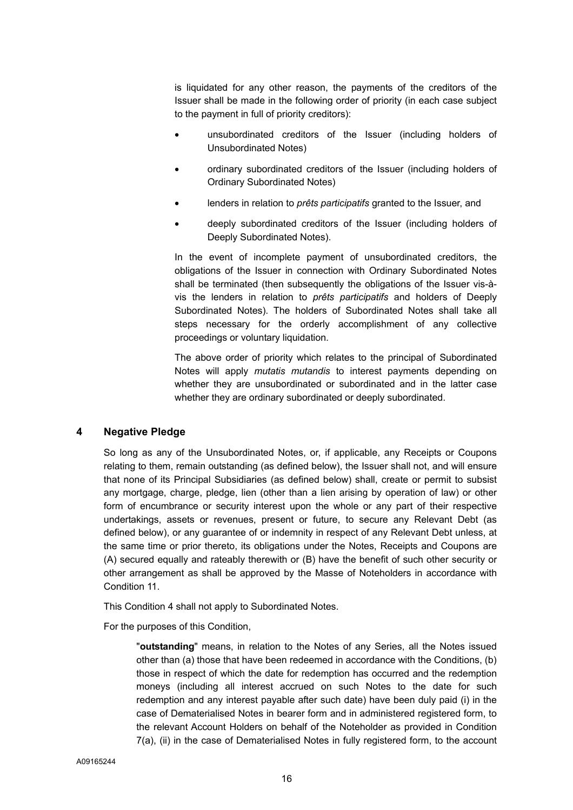is liquidated for any other reason, the payments of the creditors of the Issuer shall be made in the following order of priority (in each case subject to the payment in full of priority creditors):

- unsubordinated creditors of the Issuer (including holders of Unsubordinated Notes)
- ordinary subordinated creditors of the Issuer (including holders of Ordinary Subordinated Notes)
- lenders in relation to *prêts participatifs* granted to the Issuer, and
- deeply subordinated creditors of the Issuer (including holders of Deeply Subordinated Notes).

In the event of incomplete payment of unsubordinated creditors, the obligations of the Issuer in connection with Ordinary Subordinated Notes shall be terminated (then subsequently the obligations of the Issuer vis-àvis the lenders in relation to *prêts participatifs* and holders of Deeply Subordinated Notes). The holders of Subordinated Notes shall take all steps necessary for the orderly accomplishment of any collective proceedings or voluntary liquidation.

The above order of priority which relates to the principal of Subordinated Notes will apply *mutatis mutandis* to interest payments depending on whether they are unsubordinated or subordinated and in the latter case whether they are ordinary subordinated or deeply subordinated.

## **4 Negative Pledge**

So long as any of the Unsubordinated Notes, or, if applicable, any Receipts or Coupons relating to them, remain outstanding (as defined below), the Issuer shall not, and will ensure that none of its Principal Subsidiaries (as defined below) shall, create or permit to subsist any mortgage, charge, pledge, lien (other than a lien arising by operation of law) or other form of encumbrance or security interest upon the whole or any part of their respective undertakings, assets or revenues, present or future, to secure any Relevant Debt (as defined below), or any guarantee of or indemnity in respect of any Relevant Debt unless, at the same time or prior thereto, its obligations under the Notes, Receipts and Coupons are (A) secured equally and rateably therewith or (B) have the benefit of such other security or other arrangement as shall be approved by the Masse of Noteholders in accordance with Condition 11.

This Condition 4 shall not apply to Subordinated Notes.

For the purposes of this Condition,

"**outstanding**" means, in relation to the Notes of any Series, all the Notes issued other than (a) those that have been redeemed in accordance with the Conditions, (b) those in respect of which the date for redemption has occurred and the redemption moneys (including all interest accrued on such Notes to the date for such redemption and any interest payable after such date) have been duly paid (i) in the case of Dematerialised Notes in bearer form and in administered registered form, to the relevant Account Holders on behalf of the Noteholder as provided in Condition 7(a), (ii) in the case of Dematerialised Notes in fully registered form, to the account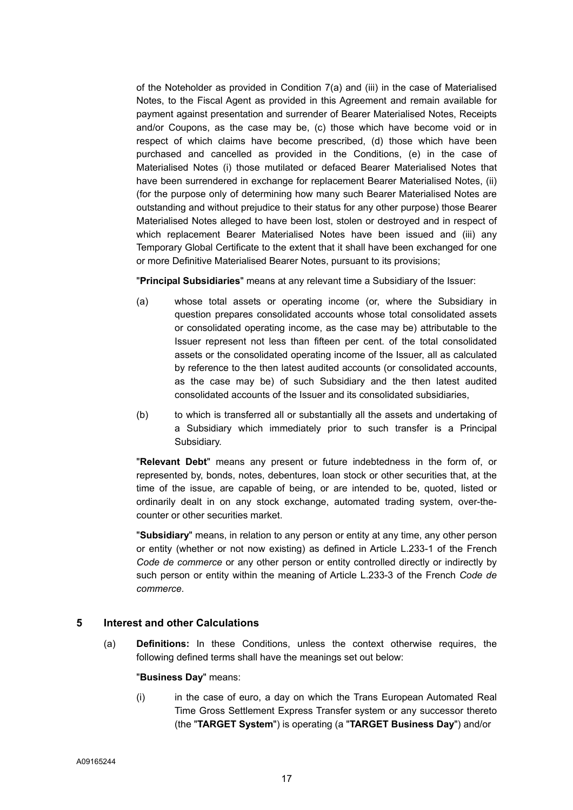of the Noteholder as provided in Condition 7(a) and (iii) in the case of Materialised Notes, to the Fiscal Agent as provided in this Agreement and remain available for payment against presentation and surrender of Bearer Materialised Notes, Receipts and/or Coupons, as the case may be, (c) those which have become void or in respect of which claims have become prescribed, (d) those which have been purchased and cancelled as provided in the Conditions, (e) in the case of Materialised Notes (i) those mutilated or defaced Bearer Materialised Notes that have been surrendered in exchange for replacement Bearer Materialised Notes, (ii) (for the purpose only of determining how many such Bearer Materialised Notes are outstanding and without prejudice to their status for any other purpose) those Bearer Materialised Notes alleged to have been lost, stolen or destroyed and in respect of which replacement Bearer Materialised Notes have been issued and (iii) any Temporary Global Certificate to the extent that it shall have been exchanged for one or more Definitive Materialised Bearer Notes, pursuant to its provisions;

"**Principal Subsidiaries**" means at any relevant time a Subsidiary of the Issuer:

- (a) whose total assets or operating income (or, where the Subsidiary in question prepares consolidated accounts whose total consolidated assets or consolidated operating income, as the case may be) attributable to the Issuer represent not less than fifteen per cent. of the total consolidated assets or the consolidated operating income of the Issuer, all as calculated by reference to the then latest audited accounts (or consolidated accounts, as the case may be) of such Subsidiary and the then latest audited consolidated accounts of the Issuer and its consolidated subsidiaries,
- (b) to which is transferred all or substantially all the assets and undertaking of a Subsidiary which immediately prior to such transfer is a Principal Subsidiary.

"**Relevant Debt**" means any present or future indebtedness in the form of, or represented by, bonds, notes, debentures, loan stock or other securities that, at the time of the issue, are capable of being, or are intended to be, quoted, listed or ordinarily dealt in on any stock exchange, automated trading system, over-thecounter or other securities market.

"**Subsidiary**" means, in relation to any person or entity at any time, any other person or entity (whether or not now existing) as defined in Article L.233-1 of the French *Code de commerce* or any other person or entity controlled directly or indirectly by such person or entity within the meaning of Article L.233-3 of the French *Code de commerce*.

## **5 Interest and other Calculations**

(a) **Definitions:** In these Conditions, unless the context otherwise requires, the following defined terms shall have the meanings set out below:

#### "**Business Day**" means:

(i) in the case of euro, a day on which the Trans European Automated Real Time Gross Settlement Express Transfer system or any successor thereto (the "**TARGET System**") is operating (a "**TARGET Business Day**") and/or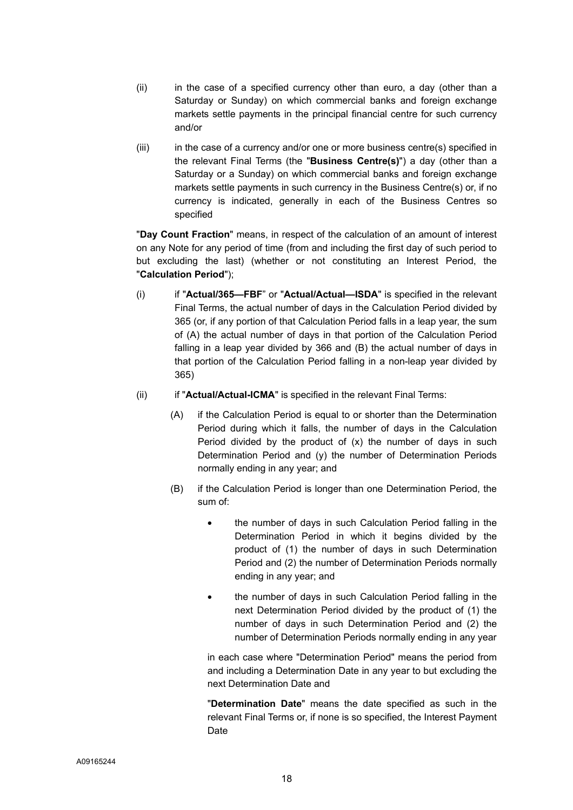- (ii) in the case of a specified currency other than euro, a day (other than a Saturday or Sunday) on which commercial banks and foreign exchange markets settle payments in the principal financial centre for such currency and/or
- $(iii)$  in the case of a currency and/or one or more business centre(s) specified in the relevant Final Terms (the "**Business Centre(s)**") a day (other than a Saturday or a Sunday) on which commercial banks and foreign exchange markets settle payments in such currency in the Business Centre(s) or, if no currency is indicated, generally in each of the Business Centres so specified

"**Day Count Fraction**" means, in respect of the calculation of an amount of interest on any Note for any period of time (from and including the first day of such period to but excluding the last) (whether or not constituting an Interest Period, the "**Calculation Period**");

- (i) if "**Actual/365—FBF**" or "**Actual/Actual—ISDA**" is specified in the relevant Final Terms, the actual number of days in the Calculation Period divided by 365 (or, if any portion of that Calculation Period falls in a leap year, the sum of (A) the actual number of days in that portion of the Calculation Period falling in a leap year divided by 366 and (B) the actual number of days in that portion of the Calculation Period falling in a non-leap year divided by 365)
- (ii) if "**Actual/Actual-ICMA**" is specified in the relevant Final Terms:
	- (A) if the Calculation Period is equal to or shorter than the Determination Period during which it falls, the number of days in the Calculation Period divided by the product of (x) the number of days in such Determination Period and (y) the number of Determination Periods normally ending in any year; and
	- (B) if the Calculation Period is longer than one Determination Period, the sum of:
		- the number of days in such Calculation Period falling in the Determination Period in which it begins divided by the product of (1) the number of days in such Determination Period and (2) the number of Determination Periods normally ending in any year; and
		- the number of days in such Calculation Period falling in the next Determination Period divided by the product of (1) the number of days in such Determination Period and (2) the number of Determination Periods normally ending in any year

in each case where "Determination Period" means the period from and including a Determination Date in any year to but excluding the next Determination Date and

"**Determination Date**" means the date specified as such in the relevant Final Terms or, if none is so specified, the Interest Payment Date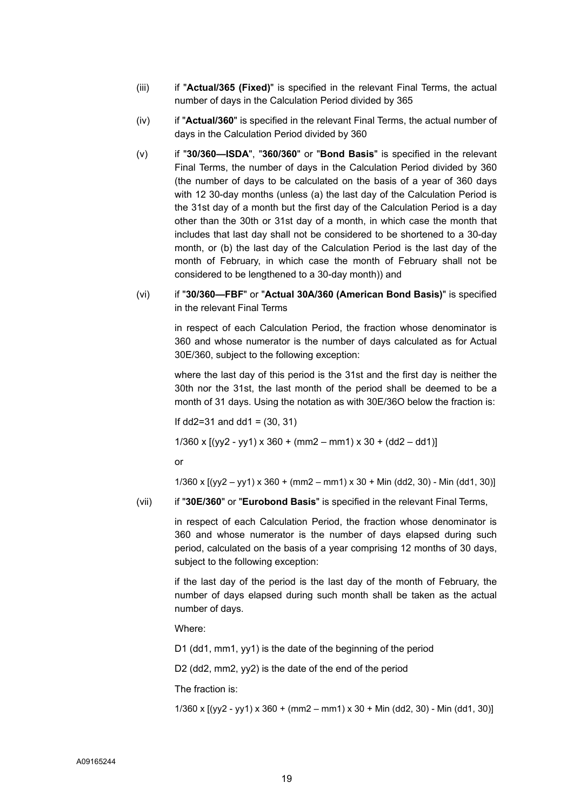- (iii) if "**Actual/365 (Fixed)**" is specified in the relevant Final Terms, the actual number of days in the Calculation Period divided by 365
- (iv) if "**Actual/360**" is specified in the relevant Final Terms, the actual number of days in the Calculation Period divided by 360
- (v) if "**30/360—ISDA**", "**360/360**" or "**Bond Basis**" is specified in the relevant Final Terms, the number of days in the Calculation Period divided by 360 (the number of days to be calculated on the basis of a year of 360 days with 12 30-day months (unless (a) the last day of the Calculation Period is the 31st day of a month but the first day of the Calculation Period is a day other than the 30th or 31st day of a month, in which case the month that includes that last day shall not be considered to be shortened to a 30-day month, or (b) the last day of the Calculation Period is the last day of the month of February, in which case the month of February shall not be considered to be lengthened to a 30-day month)) and
- (vi) if "**30/360—FBF**" or "**Actual 30A/360 (American Bond Basis)**" is specified in the relevant Final Terms

in respect of each Calculation Period, the fraction whose denominator is 360 and whose numerator is the number of days calculated as for Actual 30E/360, subject to the following exception:

where the last day of this period is the 31st and the first day is neither the 30th nor the 31st, the last month of the period shall be deemed to be a month of 31 days. Using the notation as with 30E/36O below the fraction is:

If dd2=31 and dd1 =  $(30, 31)$ 

1/360 x  $[(yy2 - yy1) \times 360 + (mm2 - mm1) \times 30 + (dd2 - dd1)]$ 

or

1/360 x  $[(yy2 - yy1) \times 360 + (mm2 - mm1) \times 30 + Min (dd2, 30) - Min (dd1, 30)]$ 

(vii) if "**30E/360**" or "**Eurobond Basis**" is specified in the relevant Final Terms,

in respect of each Calculation Period, the fraction whose denominator is 360 and whose numerator is the number of days elapsed during such period, calculated on the basis of a year comprising 12 months of 30 days, subject to the following exception:

if the last day of the period is the last day of the month of February, the number of days elapsed during such month shall be taken as the actual number of days.

Where:

D1 (dd1, mm1, yy1) is the date of the beginning of the period

D<sub>2</sub> (dd<sub>2</sub>, mm<sub>2</sub>, y<sub>v</sub><sub>2</sub>) is the date of the end of the period

The fraction is:

1/360 x  $[(yy2 - yy1) \times 360 + (mm2 - mm1) \times 30 + Min (dd2, 30) - Min (dd1, 30)]$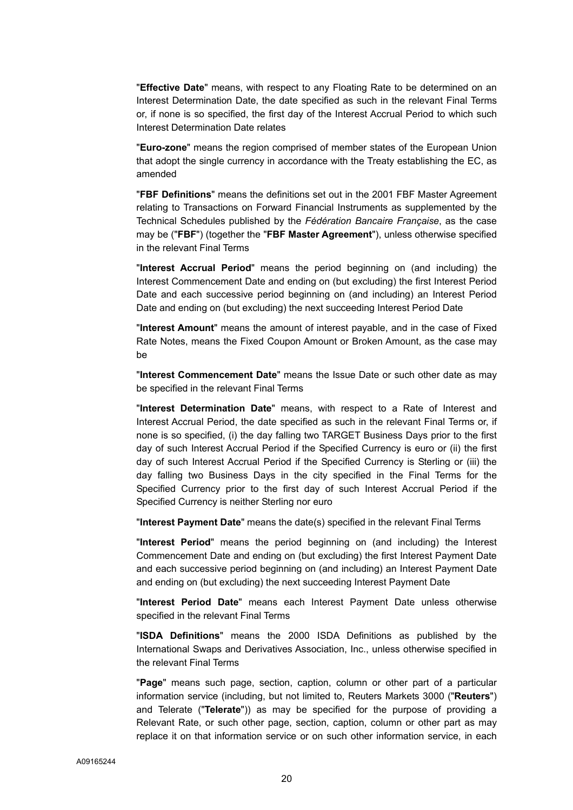"**Effective Date**" means, with respect to any Floating Rate to be determined on an Interest Determination Date, the date specified as such in the relevant Final Terms or, if none is so specified, the first day of the Interest Accrual Period to which such Interest Determination Date relates

"**Euro-zone**" means the region comprised of member states of the European Union that adopt the single currency in accordance with the Treaty establishing the EC, as amended

"**FBF Definitions**" means the definitions set out in the 2001 FBF Master Agreement relating to Transactions on Forward Financial Instruments as supplemented by the Technical Schedules published by the *Fédération Bancaire Française*, as the case may be ("**FBF**") (together the "**FBF Master Agreement**"), unless otherwise specified in the relevant Final Terms

"**Interest Accrual Period**" means the period beginning on (and including) the Interest Commencement Date and ending on (but excluding) the first Interest Period Date and each successive period beginning on (and including) an Interest Period Date and ending on (but excluding) the next succeeding Interest Period Date

"**Interest Amount**" means the amount of interest payable, and in the case of Fixed Rate Notes, means the Fixed Coupon Amount or Broken Amount, as the case may be

"**Interest Commencement Date**" means the Issue Date or such other date as may be specified in the relevant Final Terms

"**Interest Determination Date**" means, with respect to a Rate of Interest and Interest Accrual Period, the date specified as such in the relevant Final Terms or, if none is so specified, (i) the day falling two TARGET Business Days prior to the first day of such Interest Accrual Period if the Specified Currency is euro or (ii) the first day of such Interest Accrual Period if the Specified Currency is Sterling or (iii) the day falling two Business Days in the city specified in the Final Terms for the Specified Currency prior to the first day of such Interest Accrual Period if the Specified Currency is neither Sterling nor euro

"**Interest Payment Date**" means the date(s) specified in the relevant Final Terms

"**Interest Period**" means the period beginning on (and including) the Interest Commencement Date and ending on (but excluding) the first Interest Payment Date and each successive period beginning on (and including) an Interest Payment Date and ending on (but excluding) the next succeeding Interest Payment Date

"**Interest Period Date**" means each Interest Payment Date unless otherwise specified in the relevant Final Terms

"**ISDA Definitions**" means the 2000 ISDA Definitions as published by the International Swaps and Derivatives Association, Inc., unless otherwise specified in the relevant Final Terms

"**Page**" means such page, section, caption, column or other part of a particular information service (including, but not limited to, Reuters Markets 3000 ("**Reuters**") and Telerate ("**Telerate**")) as may be specified for the purpose of providing a Relevant Rate, or such other page, section, caption, column or other part as may replace it on that information service or on such other information service, in each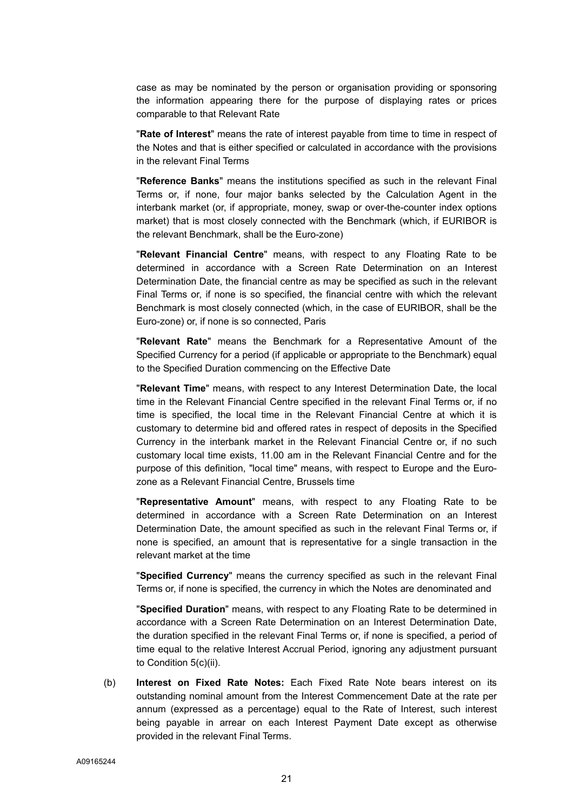case as may be nominated by the person or organisation providing or sponsoring the information appearing there for the purpose of displaying rates or prices comparable to that Relevant Rate

"**Rate of Interest**" means the rate of interest payable from time to time in respect of the Notes and that is either specified or calculated in accordance with the provisions in the relevant Final Terms

"**Reference Banks**" means the institutions specified as such in the relevant Final Terms or, if none, four major banks selected by the Calculation Agent in the interbank market (or, if appropriate, money, swap or over-the-counter index options market) that is most closely connected with the Benchmark (which, if EURIBOR is the relevant Benchmark, shall be the Euro-zone)

"**Relevant Financial Centre**" means, with respect to any Floating Rate to be determined in accordance with a Screen Rate Determination on an Interest Determination Date, the financial centre as may be specified as such in the relevant Final Terms or, if none is so specified, the financial centre with which the relevant Benchmark is most closely connected (which, in the case of EURIBOR, shall be the Euro-zone) or, if none is so connected, Paris

"**Relevant Rate**" means the Benchmark for a Representative Amount of the Specified Currency for a period (if applicable or appropriate to the Benchmark) equal to the Specified Duration commencing on the Effective Date

"**Relevant Time**" means, with respect to any Interest Determination Date, the local time in the Relevant Financial Centre specified in the relevant Final Terms or, if no time is specified, the local time in the Relevant Financial Centre at which it is customary to determine bid and offered rates in respect of deposits in the Specified Currency in the interbank market in the Relevant Financial Centre or, if no such customary local time exists, 11.00 am in the Relevant Financial Centre and for the purpose of this definition, "local time" means, with respect to Europe and the Eurozone as a Relevant Financial Centre, Brussels time

"**Representative Amount**" means, with respect to any Floating Rate to be determined in accordance with a Screen Rate Determination on an Interest Determination Date, the amount specified as such in the relevant Final Terms or, if none is specified, an amount that is representative for a single transaction in the relevant market at the time

"**Specified Currency**" means the currency specified as such in the relevant Final Terms or, if none is specified, the currency in which the Notes are denominated and

"**Specified Duration**" means, with respect to any Floating Rate to be determined in accordance with a Screen Rate Determination on an Interest Determination Date, the duration specified in the relevant Final Terms or, if none is specified, a period of time equal to the relative Interest Accrual Period, ignoring any adjustment pursuant to Condition 5(c)(ii).

(b) **Interest on Fixed Rate Notes:** Each Fixed Rate Note bears interest on its outstanding nominal amount from the Interest Commencement Date at the rate per annum (expressed as a percentage) equal to the Rate of Interest, such interest being payable in arrear on each Interest Payment Date except as otherwise provided in the relevant Final Terms.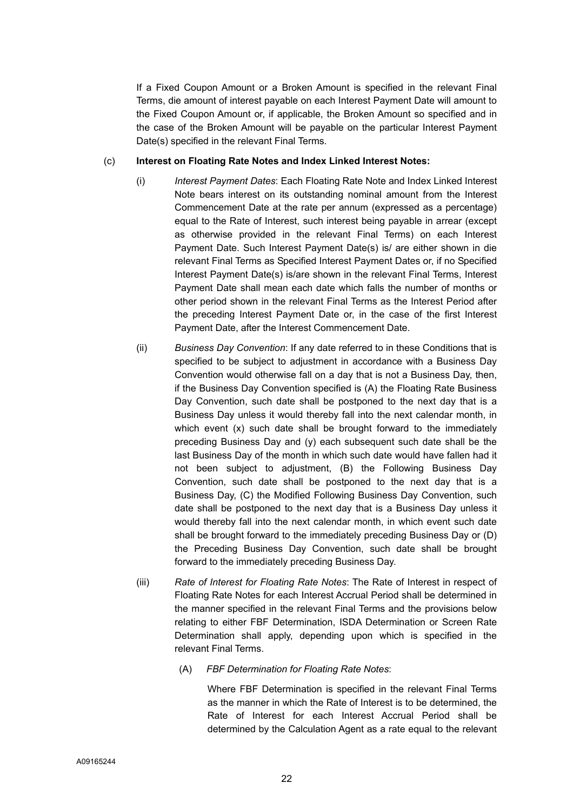If a Fixed Coupon Amount or a Broken Amount is specified in the relevant Final Terms, die amount of interest payable on each Interest Payment Date will amount to the Fixed Coupon Amount or, if applicable, the Broken Amount so specified and in the case of the Broken Amount will be payable on the particular Interest Payment Date(s) specified in the relevant Final Terms.

#### (c) **Interest on Floating Rate Notes and Index Linked Interest Notes:**

- (i) *Interest Payment Dates*: Each Floating Rate Note and Index Linked Interest Note bears interest on its outstanding nominal amount from the Interest Commencement Date at the rate per annum (expressed as a percentage) equal to the Rate of Interest, such interest being payable in arrear (except as otherwise provided in the relevant Final Terms) on each Interest Payment Date. Such Interest Payment Date(s) is/ are either shown in die relevant Final Terms as Specified Interest Payment Dates or, if no Specified Interest Payment Date(s) is/are shown in the relevant Final Terms, Interest Payment Date shall mean each date which falls the number of months or other period shown in the relevant Final Terms as the Interest Period after the preceding Interest Payment Date or, in the case of the first Interest Payment Date, after the Interest Commencement Date.
- (ii) *Business Day Convention*: If any date referred to in these Conditions that is specified to be subject to adjustment in accordance with a Business Day Convention would otherwise fall on a day that is not a Business Day, then, if the Business Day Convention specified is (A) the Floating Rate Business Day Convention, such date shall be postponed to the next day that is a Business Day unless it would thereby fall into the next calendar month, in which event (x) such date shall be brought forward to the immediately preceding Business Day and (y) each subsequent such date shall be the last Business Day of the month in which such date would have fallen had it not been subject to adjustment, (B) the Following Business Day Convention, such date shall be postponed to the next day that is a Business Day, (C) the Modified Following Business Day Convention, such date shall be postponed to the next day that is a Business Day unless it would thereby fall into the next calendar month, in which event such date shall be brought forward to the immediately preceding Business Day or (D) the Preceding Business Day Convention, such date shall be brought forward to the immediately preceding Business Day.
- (iii) *Rate of Interest for Floating Rate Notes*: The Rate of Interest in respect of Floating Rate Notes for each Interest Accrual Period shall be determined in the manner specified in the relevant Final Terms and the provisions below relating to either FBF Determination, ISDA Determination or Screen Rate Determination shall apply, depending upon which is specified in the relevant Final Terms.
	- (A) *FBF Determination for Floating Rate Notes*:

Where FBF Determination is specified in the relevant Final Terms as the manner in which the Rate of Interest is to be determined, the Rate of Interest for each Interest Accrual Period shall be determined by the Calculation Agent as a rate equal to the relevant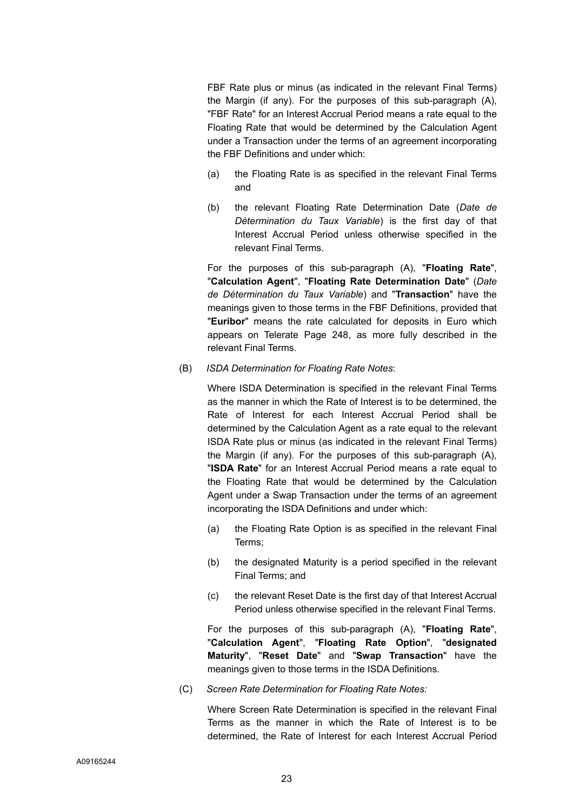FBF Rate plus or minus (as indicated in the relevant Final Terms) the Margin (if any). For the purposes of this sub-paragraph (A), "FBF Rate" for an Interest Accrual Period means a rate equal to the Floating Rate that would be determined by the Calculation Agent under a Transaction under the terms of an agreement incorporating the FBF Definitions and under which:

- (a) the Floating Rate is as specified in the relevant Final Terms and
- (b) the relevant Floating Rate Determination Date (*Date de Détermination du Taux Variable*) is the first day of that Interest Accrual Period unless otherwise specified in the relevant Final Terms.

For the purposes of this sub-paragraph (A), "**Floating Rate**", "**Calculation Agent**", "**Floating Rate Determination Date**" (*Date de Détermination du Taux Variable*) and "**Transaction**" have the meanings given to those terms in the FBF Definitions, provided that "**Euribor**" means the rate calculated for deposits in Euro which appears on Telerate Page 248, as more fully described in the relevant Final Terms.

(B) *ISDA Determination for Floating Rate Notes*:

Where ISDA Determination is specified in the relevant Final Terms as the manner in which the Rate of Interest is to be determined, the Rate of Interest for each Interest Accrual Period shall be determined by the Calculation Agent as a rate equal to the relevant ISDA Rate plus or minus (as indicated in the relevant Final Terms) the Margin (if any). For the purposes of this sub-paragraph (A), "**ISDA Rate**" for an Interest Accrual Period means a rate equal to the Floating Rate that would be determined by the Calculation Agent under a Swap Transaction under the terms of an agreement incorporating the ISDA Definitions and under which:

- (a) the Floating Rate Option is as specified in the relevant Final Terms;
- (b) the designated Maturity is a period specified in the relevant Final Terms; and
- (c) the relevant Reset Date is the first day of that Interest Accrual Period unless otherwise specified in the relevant Final Terms.

For the purposes of this sub-paragraph (A), "**Floating Rate**", "**Calculation Agent**", "**Floating Rate Option**", "**designated Maturity**", "**Reset Date**" and "**Swap Transaction**" have the meanings given to those terms in the ISDA Definitions.

(C) *Screen Rate Determination for Floating Rate Notes:* 

Where Screen Rate Determination is specified in the relevant Final Terms as the manner in which the Rate of Interest is to be determined, the Rate of Interest for each Interest Accrual Period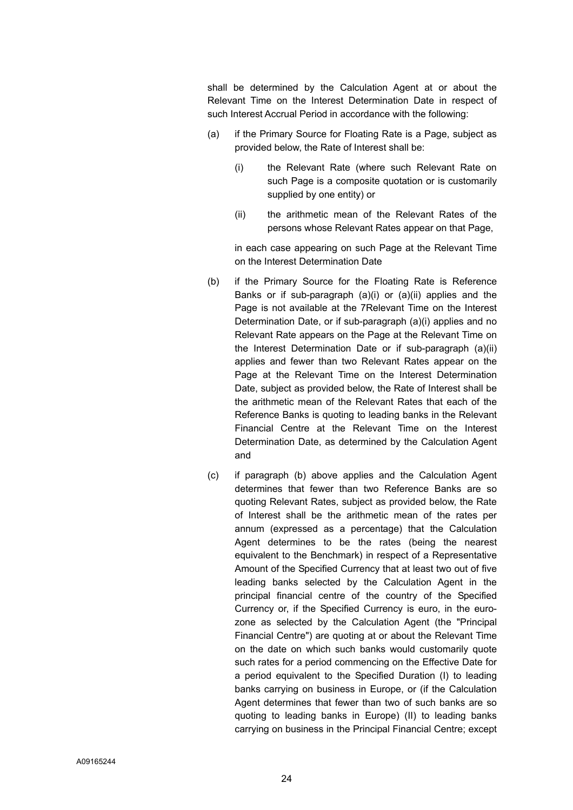shall be determined by the Calculation Agent at or about the Relevant Time on the Interest Determination Date in respect of such Interest Accrual Period in accordance with the following:

- (a) if the Primary Source for Floating Rate is a Page, subject as provided below, the Rate of Interest shall be:
	- (i) the Relevant Rate (where such Relevant Rate on such Page is a composite quotation or is customarily supplied by one entity) or
	- (ii) the arithmetic mean of the Relevant Rates of the persons whose Relevant Rates appear on that Page,

in each case appearing on such Page at the Relevant Time on the Interest Determination Date

- (b) if the Primary Source for the Floating Rate is Reference Banks or if sub-paragraph (a)(i) or (a)(ii) applies and the Page is not available at the 7Relevant Time on the Interest Determination Date, or if sub-paragraph (a)(i) applies and no Relevant Rate appears on the Page at the Relevant Time on the Interest Determination Date or if sub-paragraph (a)(ii) applies and fewer than two Relevant Rates appear on the Page at the Relevant Time on the Interest Determination Date, subject as provided below, the Rate of Interest shall be the arithmetic mean of the Relevant Rates that each of the Reference Banks is quoting to leading banks in the Relevant Financial Centre at the Relevant Time on the Interest Determination Date, as determined by the Calculation Agent and
- (c) if paragraph (b) above applies and the Calculation Agent determines that fewer than two Reference Banks are so quoting Relevant Rates, subject as provided below, the Rate of Interest shall be the arithmetic mean of the rates per annum (expressed as a percentage) that the Calculation Agent determines to be the rates (being the nearest equivalent to the Benchmark) in respect of a Representative Amount of the Specified Currency that at least two out of five leading banks selected by the Calculation Agent in the principal financial centre of the country of the Specified Currency or, if the Specified Currency is euro, in the eurozone as selected by the Calculation Agent (the "Principal Financial Centre") are quoting at or about the Relevant Time on the date on which such banks would customarily quote such rates for a period commencing on the Effective Date for a period equivalent to the Specified Duration (I) to leading banks carrying on business in Europe, or (if the Calculation Agent determines that fewer than two of such banks are so quoting to leading banks in Europe) (II) to leading banks carrying on business in the Principal Financial Centre; except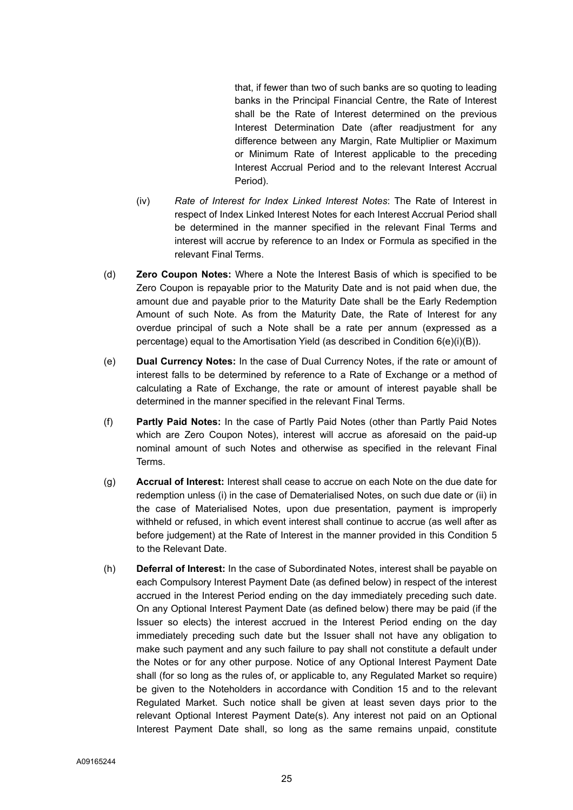that, if fewer than two of such banks are so quoting to leading banks in the Principal Financial Centre, the Rate of Interest shall be the Rate of Interest determined on the previous Interest Determination Date (after readjustment for any difference between any Margin, Rate Multiplier or Maximum or Minimum Rate of Interest applicable to the preceding Interest Accrual Period and to the relevant Interest Accrual Period).

- (iv) *Rate of Interest for Index Linked Interest Notes*: The Rate of Interest in respect of Index Linked Interest Notes for each Interest Accrual Period shall be determined in the manner specified in the relevant Final Terms and interest will accrue by reference to an Index or Formula as specified in the relevant Final Terms.
- (d) **Zero Coupon Notes:** Where a Note the Interest Basis of which is specified to be Zero Coupon is repayable prior to the Maturity Date and is not paid when due, the amount due and payable prior to the Maturity Date shall be the Early Redemption Amount of such Note. As from the Maturity Date, the Rate of Interest for any overdue principal of such a Note shall be a rate per annum (expressed as a percentage) equal to the Amortisation Yield (as described in Condition 6(e)(i)(B)).
- (e) **Dual Currency Notes:** In the case of Dual Currency Notes, if the rate or amount of interest falls to be determined by reference to a Rate of Exchange or a method of calculating a Rate of Exchange, the rate or amount of interest payable shall be determined in the manner specified in the relevant Final Terms.
- (f) **Partly Paid Notes:** In the case of Partly Paid Notes (other than Partly Paid Notes which are Zero Coupon Notes), interest will accrue as aforesaid on the paid-up nominal amount of such Notes and otherwise as specified in the relevant Final **Terms**
- (g) **Accrual of Interest:** Interest shall cease to accrue on each Note on the due date for redemption unless (i) in the case of Dematerialised Notes, on such due date or (ii) in the case of Materialised Notes, upon due presentation, payment is improperly withheld or refused, in which event interest shall continue to accrue (as well after as before judgement) at the Rate of Interest in the manner provided in this Condition 5 to the Relevant Date.
- (h) **Deferral of Interest:** In the case of Subordinated Notes, interest shall be payable on each Compulsory Interest Payment Date (as defined below) in respect of the interest accrued in the Interest Period ending on the day immediately preceding such date. On any Optional Interest Payment Date (as defined below) there may be paid (if the Issuer so elects) the interest accrued in the Interest Period ending on the day immediately preceding such date but the Issuer shall not have any obligation to make such payment and any such failure to pay shall not constitute a default under the Notes or for any other purpose. Notice of any Optional Interest Payment Date shall (for so long as the rules of, or applicable to, any Regulated Market so require) be given to the Noteholders in accordance with Condition 15 and to the relevant Regulated Market. Such notice shall be given at least seven days prior to the relevant Optional Interest Payment Date(s). Any interest not paid on an Optional Interest Payment Date shall, so long as the same remains unpaid, constitute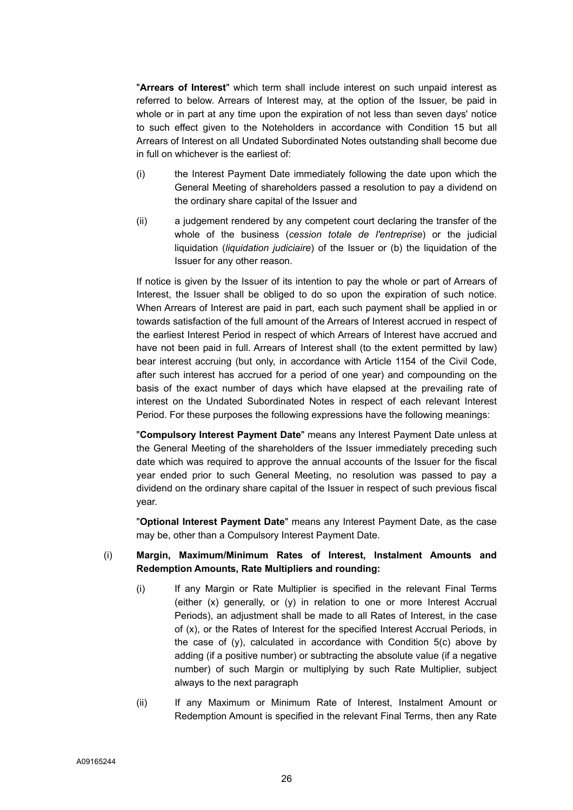"**Arrears of Interest**" which term shall include interest on such unpaid interest as referred to below. Arrears of Interest may, at the option of the Issuer, be paid in whole or in part at any time upon the expiration of not less than seven days' notice to such effect given to the Noteholders in accordance with Condition 15 but all Arrears of Interest on all Undated Subordinated Notes outstanding shall become due in full on whichever is the earliest of:

- (i) the Interest Payment Date immediately following the date upon which the General Meeting of shareholders passed a resolution to pay a dividend on the ordinary share capital of the Issuer and
- (ii) a judgement rendered by any competent court declaring the transfer of the whole of the business (*cession totale de l'entreprise*) or the judicial liquidation (*liquidation judiciaire*) of the Issuer or (b) the liquidation of the Issuer for any other reason.

If notice is given by the Issuer of its intention to pay the whole or part of Arrears of Interest, the Issuer shall be obliged to do so upon the expiration of such notice. When Arrears of Interest are paid in part, each such payment shall be applied in or towards satisfaction of the full amount of the Arrears of Interest accrued in respect of the earliest Interest Period in respect of which Arrears of Interest have accrued and have not been paid in full. Arrears of Interest shall (to the extent permitted by law) bear interest accruing (but only, in accordance with Article 1154 of the Civil Code, after such interest has accrued for a period of one year) and compounding on the basis of the exact number of days which have elapsed at the prevailing rate of interest on the Undated Subordinated Notes in respect of each relevant Interest Period. For these purposes the following expressions have the following meanings:

"**Compulsory Interest Payment Date**" means any Interest Payment Date unless at the General Meeting of the shareholders of the Issuer immediately preceding such date which was required to approve the annual accounts of the Issuer for the fiscal year ended prior to such General Meeting, no resolution was passed to pay a dividend on the ordinary share capital of the Issuer in respect of such previous fiscal year.

"**Optional Interest Payment Date**" means any Interest Payment Date, as the case may be, other than a Compulsory Interest Payment Date.

## (i) **Margin, Maximum/Minimum Rates of Interest, Instalment Amounts and Redemption Amounts, Rate Multipliers and rounding:**

- (i) If any Margin or Rate Multiplier is specified in the relevant Final Terms (either (x) generally, or (y) in relation to one or more Interest Accrual Periods), an adjustment shall be made to all Rates of Interest, in the case of (x), or the Rates of Interest for the specified Interest Accrual Periods, in the case of (y), calculated in accordance with Condition 5(c) above by adding (if a positive number) or subtracting the absolute value (if a negative number) of such Margin or multiplying by such Rate Multiplier, subject always to the next paragraph
- (ii) If any Maximum or Minimum Rate of Interest, Instalment Amount or Redemption Amount is specified in the relevant Final Terms, then any Rate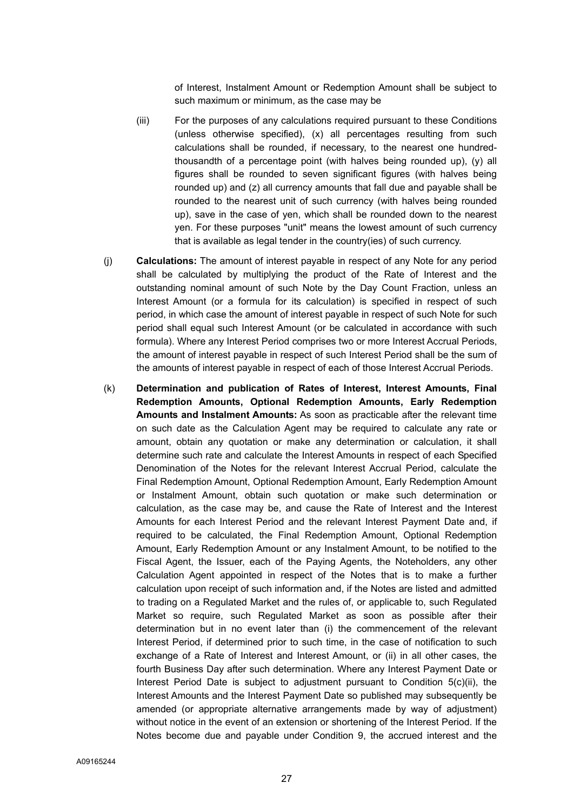of Interest, Instalment Amount or Redemption Amount shall be subject to such maximum or minimum, as the case may be

- (iii) For the purposes of any calculations required pursuant to these Conditions (unless otherwise specified), (x) all percentages resulting from such calculations shall be rounded, if necessary, to the nearest one hundredthousandth of a percentage point (with halves being rounded up), (y) all figures shall be rounded to seven significant figures (with halves being rounded up) and (z) all currency amounts that fall due and payable shall be rounded to the nearest unit of such currency (with halves being rounded up), save in the case of yen, which shall be rounded down to the nearest yen. For these purposes "unit" means the lowest amount of such currency that is available as legal tender in the country(ies) of such currency.
- (j) **Calculations:** The amount of interest payable in respect of any Note for any period shall be calculated by multiplying the product of the Rate of Interest and the outstanding nominal amount of such Note by the Day Count Fraction, unless an Interest Amount (or a formula for its calculation) is specified in respect of such period, in which case the amount of interest payable in respect of such Note for such period shall equal such Interest Amount (or be calculated in accordance with such formula). Where any Interest Period comprises two or more Interest Accrual Periods, the amount of interest payable in respect of such Interest Period shall be the sum of the amounts of interest payable in respect of each of those Interest Accrual Periods.
- (k) **Determination and publication of Rates of Interest, Interest Amounts, Final Redemption Amounts, Optional Redemption Amounts, Early Redemption Amounts and Instalment Amounts:** As soon as practicable after the relevant time on such date as the Calculation Agent may be required to calculate any rate or amount, obtain any quotation or make any determination or calculation, it shall determine such rate and calculate the Interest Amounts in respect of each Specified Denomination of the Notes for the relevant Interest Accrual Period, calculate the Final Redemption Amount, Optional Redemption Amount, Early Redemption Amount or Instalment Amount, obtain such quotation or make such determination or calculation, as the case may be, and cause the Rate of Interest and the Interest Amounts for each Interest Period and the relevant Interest Payment Date and, if required to be calculated, the Final Redemption Amount, Optional Redemption Amount, Early Redemption Amount or any Instalment Amount, to be notified to the Fiscal Agent, the Issuer, each of the Paying Agents, the Noteholders, any other Calculation Agent appointed in respect of the Notes that is to make a further calculation upon receipt of such information and, if the Notes are listed and admitted to trading on a Regulated Market and the rules of, or applicable to, such Regulated Market so require, such Regulated Market as soon as possible after their determination but in no event later than (i) the commencement of the relevant Interest Period, if determined prior to such time, in the case of notification to such exchange of a Rate of Interest and Interest Amount, or (ii) in all other cases, the fourth Business Day after such determination. Where any Interest Payment Date or Interest Period Date is subject to adjustment pursuant to Condition  $5(c)(ii)$ , the Interest Amounts and the Interest Payment Date so published may subsequently be amended (or appropriate alternative arrangements made by way of adjustment) without notice in the event of an extension or shortening of the Interest Period. If the Notes become due and payable under Condition 9, the accrued interest and the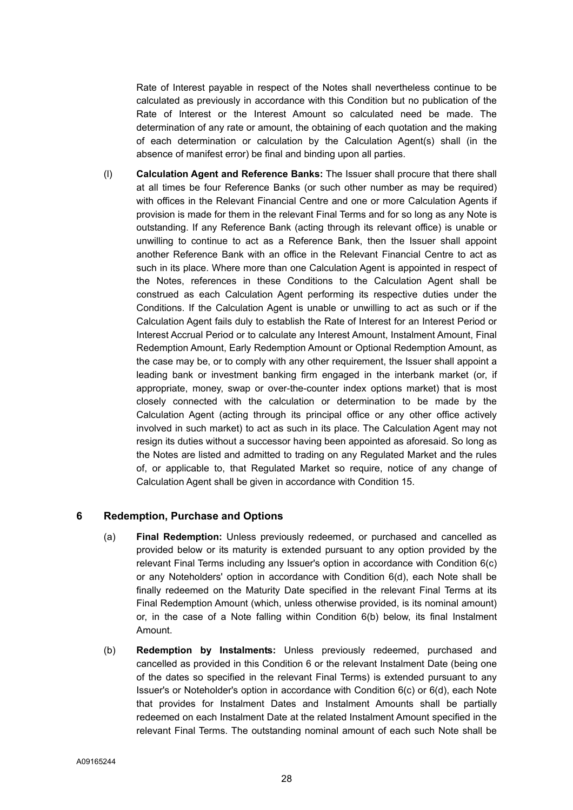Rate of Interest payable in respect of the Notes shall nevertheless continue to be calculated as previously in accordance with this Condition but no publication of the Rate of Interest or the Interest Amount so calculated need be made. The determination of any rate or amount, the obtaining of each quotation and the making of each determination or calculation by the Calculation Agent(s) shall (in the absence of manifest error) be final and binding upon all parties.

(l) **Calculation Agent and Reference Banks:** The Issuer shall procure that there shall at all times be four Reference Banks (or such other number as may be required) with offices in the Relevant Financial Centre and one or more Calculation Agents if provision is made for them in the relevant Final Terms and for so long as any Note is outstanding. If any Reference Bank (acting through its relevant office) is unable or unwilling to continue to act as a Reference Bank, then the Issuer shall appoint another Reference Bank with an office in the Relevant Financial Centre to act as such in its place. Where more than one Calculation Agent is appointed in respect of the Notes, references in these Conditions to the Calculation Agent shall be construed as each Calculation Agent performing its respective duties under the Conditions. If the Calculation Agent is unable or unwilling to act as such or if the Calculation Agent fails duly to establish the Rate of Interest for an Interest Period or Interest Accrual Period or to calculate any Interest Amount, Instalment Amount, Final Redemption Amount, Early Redemption Amount or Optional Redemption Amount, as the case may be, or to comply with any other requirement, the Issuer shall appoint a leading bank or investment banking firm engaged in the interbank market (or, if appropriate, money, swap or over-the-counter index options market) that is most closely connected with the calculation or determination to be made by the Calculation Agent (acting through its principal office or any other office actively involved in such market) to act as such in its place. The Calculation Agent may not resign its duties without a successor having been appointed as aforesaid. So long as the Notes are listed and admitted to trading on any Regulated Market and the rules of, or applicable to, that Regulated Market so require, notice of any change of Calculation Agent shall be given in accordance with Condition 15.

## **6 Redemption, Purchase and Options**

- (a) **Final Redemption:** Unless previously redeemed, or purchased and cancelled as provided below or its maturity is extended pursuant to any option provided by the relevant Final Terms including any Issuer's option in accordance with Condition 6(c) or any Noteholders' option in accordance with Condition 6(d), each Note shall be finally redeemed on the Maturity Date specified in the relevant Final Terms at its Final Redemption Amount (which, unless otherwise provided, is its nominal amount) or, in the case of a Note falling within Condition 6(b) below, its final Instalment Amount.
- (b) **Redemption by Instalments:** Unless previously redeemed, purchased and cancelled as provided in this Condition 6 or the relevant Instalment Date (being one of the dates so specified in the relevant Final Terms) is extended pursuant to any Issuer's or Noteholder's option in accordance with Condition 6(c) or 6(d), each Note that provides for Instalment Dates and Instalment Amounts shall be partially redeemed on each Instalment Date at the related Instalment Amount specified in the relevant Final Terms. The outstanding nominal amount of each such Note shall be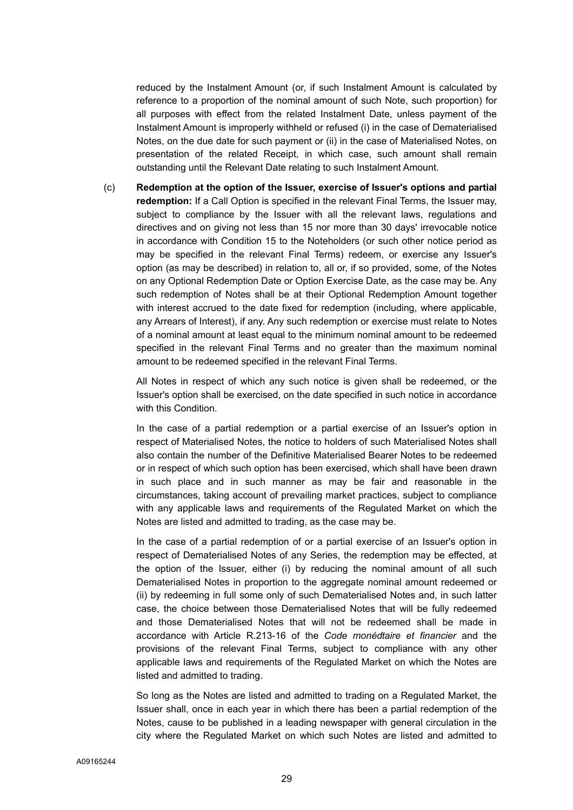reduced by the Instalment Amount (or, if such Instalment Amount is calculated by reference to a proportion of the nominal amount of such Note, such proportion) for all purposes with effect from the related Instalment Date, unless payment of the Instalment Amount is improperly withheld or refused (i) in the case of Dematerialised Notes, on the due date for such payment or (ii) in the case of Materialised Notes, on presentation of the related Receipt, in which case, such amount shall remain outstanding until the Relevant Date relating to such Instalment Amount.

(c) **Redemption at the option of the Issuer, exercise of Issuer's options and partial redemption:** If a Call Option is specified in the relevant Final Terms, the Issuer may, subject to compliance by the Issuer with all the relevant laws, regulations and directives and on giving not less than 15 nor more than 30 days' irrevocable notice in accordance with Condition 15 to the Noteholders (or such other notice period as may be specified in the relevant Final Terms) redeem, or exercise any Issuer's option (as may be described) in relation to, all or, if so provided, some, of the Notes on any Optional Redemption Date or Option Exercise Date, as the case may be. Any such redemption of Notes shall be at their Optional Redemption Amount together with interest accrued to the date fixed for redemption (including, where applicable, any Arrears of Interest), if any. Any such redemption or exercise must relate to Notes of a nominal amount at least equal to the minimum nominal amount to be redeemed specified in the relevant Final Terms and no greater than the maximum nominal amount to be redeemed specified in the relevant Final Terms.

All Notes in respect of which any such notice is given shall be redeemed, or the Issuer's option shall be exercised, on the date specified in such notice in accordance with this Condition.

In the case of a partial redemption or a partial exercise of an Issuer's option in respect of Materialised Notes, the notice to holders of such Materialised Notes shall also contain the number of the Definitive Materialised Bearer Notes to be redeemed or in respect of which such option has been exercised, which shall have been drawn in such place and in such manner as may be fair and reasonable in the circumstances, taking account of prevailing market practices, subject to compliance with any applicable laws and requirements of the Regulated Market on which the Notes are listed and admitted to trading, as the case may be.

In the case of a partial redemption of or a partial exercise of an Issuer's option in respect of Dematerialised Notes of any Series, the redemption may be effected, at the option of the Issuer, either (i) by reducing the nominal amount of all such Dematerialised Notes in proportion to the aggregate nominal amount redeemed or (ii) by redeeming in full some only of such Dematerialised Notes and, in such latter case, the choice between those Dematerialised Notes that will be fully redeemed and those Dematerialised Notes that will not be redeemed shall be made in accordance with Article R.213-16 of the *Code monédtaire et financier* and the provisions of the relevant Final Terms, subject to compliance with any other applicable laws and requirements of the Regulated Market on which the Notes are listed and admitted to trading.

So long as the Notes are listed and admitted to trading on a Regulated Market, the Issuer shall, once in each year in which there has been a partial redemption of the Notes, cause to be published in a leading newspaper with general circulation in the city where the Regulated Market on which such Notes are listed and admitted to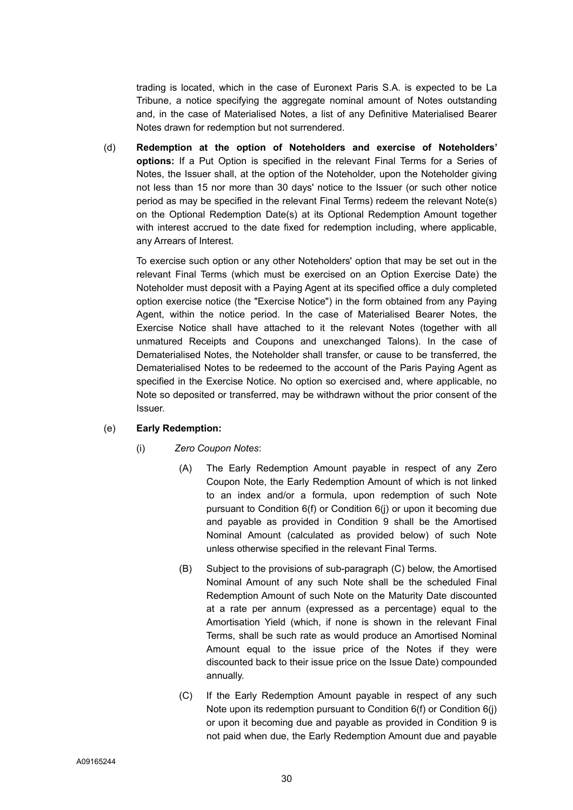trading is located, which in the case of Euronext Paris S.A. is expected to be La Tribune, a notice specifying the aggregate nominal amount of Notes outstanding and, in the case of Materialised Notes, a list of any Definitive Materialised Bearer Notes drawn for redemption but not surrendered.

(d) **Redemption at the option of Noteholders and exercise of Noteholders' options:** If a Put Option is specified in the relevant Final Terms for a Series of Notes, the Issuer shall, at the option of the Noteholder, upon the Noteholder giving not less than 15 nor more than 30 days' notice to the Issuer (or such other notice period as may be specified in the relevant Final Terms) redeem the relevant Note(s) on the Optional Redemption Date(s) at its Optional Redemption Amount together with interest accrued to the date fixed for redemption including, where applicable, any Arrears of Interest.

To exercise such option or any other Noteholders' option that may be set out in the relevant Final Terms (which must be exercised on an Option Exercise Date) the Noteholder must deposit with a Paying Agent at its specified office a duly completed option exercise notice (the "Exercise Notice") in the form obtained from any Paying Agent, within the notice period. In the case of Materialised Bearer Notes, the Exercise Notice shall have attached to it the relevant Notes (together with all unmatured Receipts and Coupons and unexchanged Talons). In the case of Dematerialised Notes, the Noteholder shall transfer, or cause to be transferred, the Dematerialised Notes to be redeemed to the account of the Paris Paying Agent as specified in the Exercise Notice. No option so exercised and, where applicable, no Note so deposited or transferred, may be withdrawn without the prior consent of the Issuer.

## (e) **Early Redemption:**

## (i) *Zero Coupon Notes*:

- (A) The Early Redemption Amount payable in respect of any Zero Coupon Note, the Early Redemption Amount of which is not linked to an index and/or a formula, upon redemption of such Note pursuant to Condition 6(f) or Condition 6(j) or upon it becoming due and payable as provided in Condition 9 shall be the Amortised Nominal Amount (calculated as provided below) of such Note unless otherwise specified in the relevant Final Terms.
- (B) Subject to the provisions of sub-paragraph (C) below, the Amortised Nominal Amount of any such Note shall be the scheduled Final Redemption Amount of such Note on the Maturity Date discounted at a rate per annum (expressed as a percentage) equal to the Amortisation Yield (which, if none is shown in the relevant Final Terms, shall be such rate as would produce an Amortised Nominal Amount equal to the issue price of the Notes if they were discounted back to their issue price on the Issue Date) compounded annually.
- (C) If the Early Redemption Amount payable in respect of any such Note upon its redemption pursuant to Condition 6(f) or Condition 6(j) or upon it becoming due and payable as provided in Condition 9 is not paid when due, the Early Redemption Amount due and payable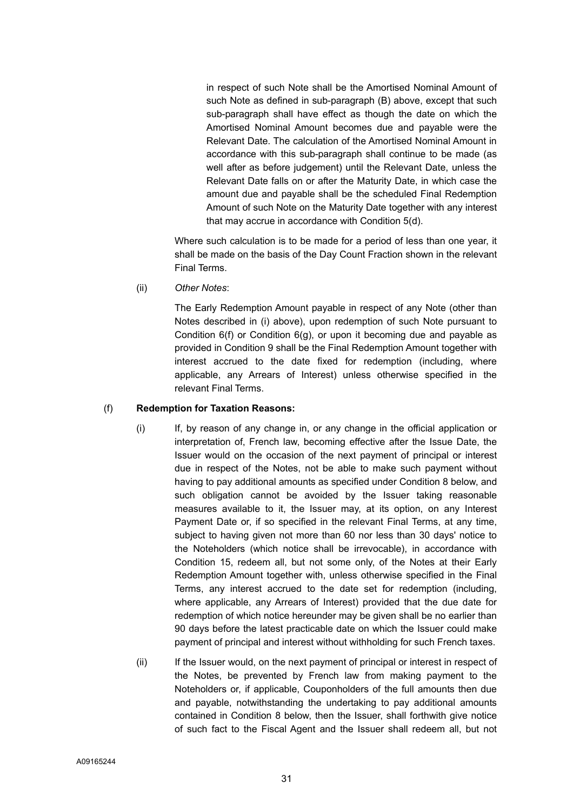in respect of such Note shall be the Amortised Nominal Amount of such Note as defined in sub-paragraph (B) above, except that such sub-paragraph shall have effect as though the date on which the Amortised Nominal Amount becomes due and payable were the Relevant Date. The calculation of the Amortised Nominal Amount in accordance with this sub-paragraph shall continue to be made (as well after as before judgement) until the Relevant Date, unless the Relevant Date falls on or after the Maturity Date, in which case the amount due and payable shall be the scheduled Final Redemption Amount of such Note on the Maturity Date together with any interest that may accrue in accordance with Condition 5(d).

Where such calculation is to be made for a period of less than one year, it shall be made on the basis of the Day Count Fraction shown in the relevant Final Terms.

(ii) *Other Notes*:

The Early Redemption Amount payable in respect of any Note (other than Notes described in (i) above), upon redemption of such Note pursuant to Condition 6(f) or Condition 6(g), or upon it becoming due and payable as provided in Condition 9 shall be the Final Redemption Amount together with interest accrued to the date fixed for redemption (including, where applicable, any Arrears of Interest) unless otherwise specified in the relevant Final Terms.

#### (f) **Redemption for Taxation Reasons:**

- (i) If, by reason of any change in, or any change in the official application or interpretation of, French law, becoming effective after the Issue Date, the Issuer would on the occasion of the next payment of principal or interest due in respect of the Notes, not be able to make such payment without having to pay additional amounts as specified under Condition 8 below, and such obligation cannot be avoided by the Issuer taking reasonable measures available to it, the Issuer may, at its option, on any Interest Payment Date or, if so specified in the relevant Final Terms, at any time, subject to having given not more than 60 nor less than 30 days' notice to the Noteholders (which notice shall be irrevocable), in accordance with Condition 15, redeem all, but not some only, of the Notes at their Early Redemption Amount together with, unless otherwise specified in the Final Terms, any interest accrued to the date set for redemption (including, where applicable, any Arrears of Interest) provided that the due date for redemption of which notice hereunder may be given shall be no earlier than 90 days before the latest practicable date on which the Issuer could make payment of principal and interest without withholding for such French taxes.
- (ii) If the Issuer would, on the next payment of principal or interest in respect of the Notes, be prevented by French law from making payment to the Noteholders or, if applicable, Couponholders of the full amounts then due and payable, notwithstanding the undertaking to pay additional amounts contained in Condition 8 below, then the Issuer, shall forthwith give notice of such fact to the Fiscal Agent and the Issuer shall redeem all, but not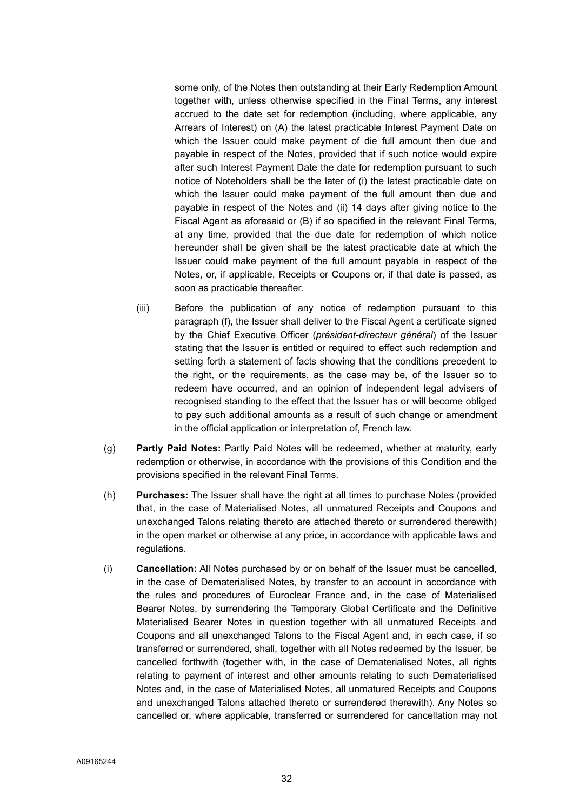some only, of the Notes then outstanding at their Early Redemption Amount together with, unless otherwise specified in the Final Terms, any interest accrued to the date set for redemption (including, where applicable, any Arrears of Interest) on (A) the latest practicable Interest Payment Date on which the Issuer could make payment of die full amount then due and payable in respect of the Notes, provided that if such notice would expire after such Interest Payment Date the date for redemption pursuant to such notice of Noteholders shall be the later of (i) the latest practicable date on which the Issuer could make payment of the full amount then due and payable in respect of the Notes and (ii) 14 days after giving notice to the Fiscal Agent as aforesaid or (B) if so specified in the relevant Final Terms, at any time, provided that the due date for redemption of which notice hereunder shall be given shall be the latest practicable date at which the Issuer could make payment of the full amount payable in respect of the Notes, or, if applicable, Receipts or Coupons or, if that date is passed, as soon as practicable thereafter.

- (iii) Before the publication of any notice of redemption pursuant to this paragraph (f), the Issuer shall deliver to the Fiscal Agent a certificate signed by the Chief Executive Officer (*président-directeur général*) of the Issuer stating that the Issuer is entitled or required to effect such redemption and setting forth a statement of facts showing that the conditions precedent to the right, or the requirements, as the case may be, of the Issuer so to redeem have occurred, and an opinion of independent legal advisers of recognised standing to the effect that the Issuer has or will become obliged to pay such additional amounts as a result of such change or amendment in the official application or interpretation of, French law.
- (g) **Partly Paid Notes:** Partly Paid Notes will be redeemed, whether at maturity, early redemption or otherwise, in accordance with the provisions of this Condition and the provisions specified in the relevant Final Terms.
- (h) **Purchases:** The Issuer shall have the right at all times to purchase Notes (provided that, in the case of Materialised Notes, all unmatured Receipts and Coupons and unexchanged Talons relating thereto are attached thereto or surrendered therewith) in the open market or otherwise at any price, in accordance with applicable laws and regulations.
- (i) **Cancellation:** All Notes purchased by or on behalf of the Issuer must be cancelled, in the case of Dematerialised Notes, by transfer to an account in accordance with the rules and procedures of Euroclear France and, in the case of Materialised Bearer Notes, by surrendering the Temporary Global Certificate and the Definitive Materialised Bearer Notes in question together with all unmatured Receipts and Coupons and all unexchanged Talons to the Fiscal Agent and, in each case, if so transferred or surrendered, shall, together with all Notes redeemed by the Issuer, be cancelled forthwith (together with, in the case of Dematerialised Notes, all rights relating to payment of interest and other amounts relating to such Dematerialised Notes and, in the case of Materialised Notes, all unmatured Receipts and Coupons and unexchanged Talons attached thereto or surrendered therewith). Any Notes so cancelled or, where applicable, transferred or surrendered for cancellation may not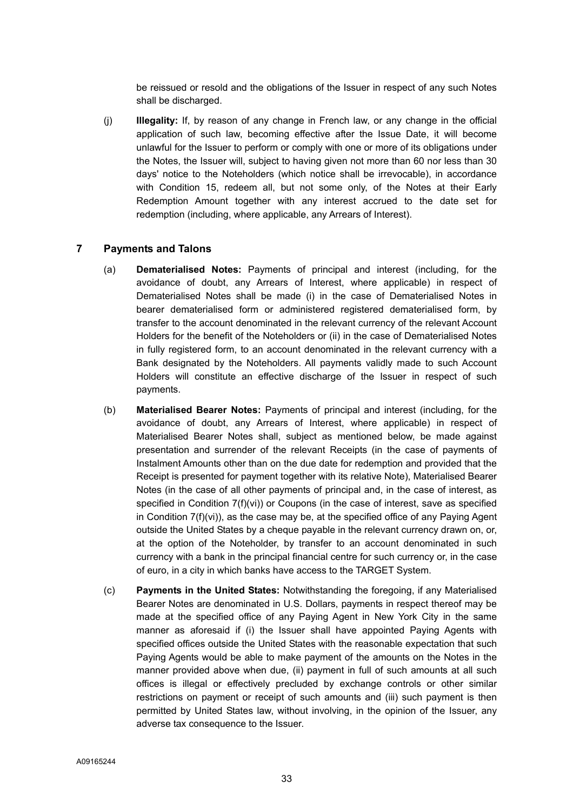be reissued or resold and the obligations of the Issuer in respect of any such Notes shall be discharged.

(j) **Illegality:** If, by reason of any change in French law, or any change in the official application of such law, becoming effective after the Issue Date, it will become unlawful for the Issuer to perform or comply with one or more of its obligations under the Notes, the Issuer will, subject to having given not more than 60 nor less than 30 days' notice to the Noteholders (which notice shall be irrevocable), in accordance with Condition 15, redeem all, but not some only, of the Notes at their Early Redemption Amount together with any interest accrued to the date set for redemption (including, where applicable, any Arrears of Interest).

# **7 Payments and Talons**

- (a) **Dematerialised Notes:** Payments of principal and interest (including, for the avoidance of doubt, any Arrears of Interest, where applicable) in respect of Dematerialised Notes shall be made (i) in the case of Dematerialised Notes in bearer dematerialised form or administered registered dematerialised form, by transfer to the account denominated in the relevant currency of the relevant Account Holders for the benefit of the Noteholders or (ii) in the case of Dematerialised Notes in fully registered form, to an account denominated in the relevant currency with a Bank designated by the Noteholders. All payments validly made to such Account Holders will constitute an effective discharge of the Issuer in respect of such payments.
- (b) **Materialised Bearer Notes:** Payments of principal and interest (including, for the avoidance of doubt, any Arrears of Interest, where applicable) in respect of Materialised Bearer Notes shall, subject as mentioned below, be made against presentation and surrender of the relevant Receipts (in the case of payments of Instalment Amounts other than on the due date for redemption and provided that the Receipt is presented for payment together with its relative Note), Materialised Bearer Notes (in the case of all other payments of principal and, in the case of interest, as specified in Condition 7(f)(vi)) or Coupons (in the case of interest, save as specified in Condition  $7(f)(vi)$ , as the case may be, at the specified office of any Paying Agent outside the United States by a cheque payable in the relevant currency drawn on, or, at the option of the Noteholder, by transfer to an account denominated in such currency with a bank in the principal financial centre for such currency or, in the case of euro, in a city in which banks have access to the TARGET System.
- (c) **Payments in the United States:** Notwithstanding the foregoing, if any Materialised Bearer Notes are denominated in U.S. Dollars, payments in respect thereof may be made at the specified office of any Paying Agent in New York City in the same manner as aforesaid if (i) the Issuer shall have appointed Paying Agents with specified offices outside the United States with the reasonable expectation that such Paying Agents would be able to make payment of the amounts on the Notes in the manner provided above when due, (ii) payment in full of such amounts at all such offices is illegal or effectively precluded by exchange controls or other similar restrictions on payment or receipt of such amounts and (iii) such payment is then permitted by United States law, without involving, in the opinion of the Issuer, any adverse tax consequence to the Issuer.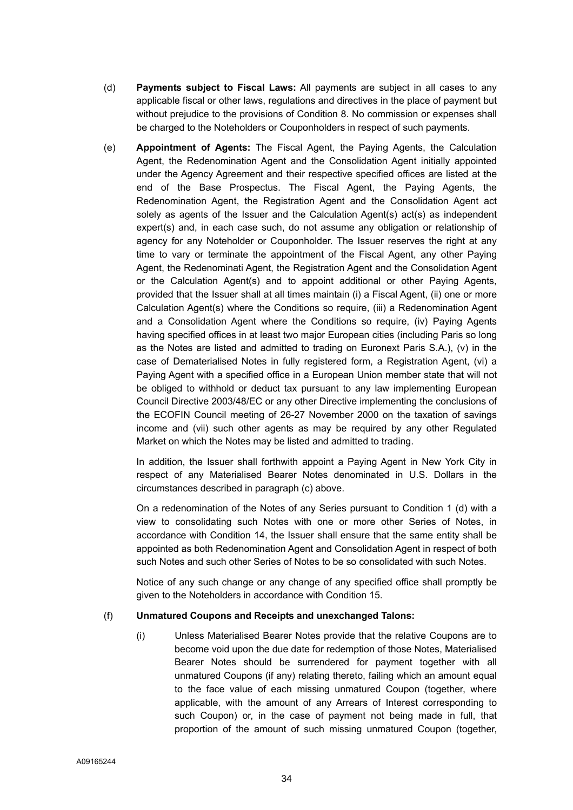- (d) **Payments subject to Fiscal Laws:** All payments are subject in all cases to any applicable fiscal or other laws, regulations and directives in the place of payment but without prejudice to the provisions of Condition 8. No commission or expenses shall be charged to the Noteholders or Couponholders in respect of such payments.
- (e) **Appointment of Agents:** The Fiscal Agent, the Paying Agents, the Calculation Agent, the Redenomination Agent and the Consolidation Agent initially appointed under the Agency Agreement and their respective specified offices are listed at the end of the Base Prospectus. The Fiscal Agent, the Paying Agents, the Redenomination Agent, the Registration Agent and the Consolidation Agent act solely as agents of the Issuer and the Calculation Agent(s) act(s) as independent expert(s) and, in each case such, do not assume any obligation or relationship of agency for any Noteholder or Couponholder. The Issuer reserves the right at any time to vary or terminate the appointment of the Fiscal Agent, any other Paying Agent, the Redenominati Agent, the Registration Agent and the Consolidation Agent or the Calculation Agent(s) and to appoint additional or other Paying Agents, provided that the Issuer shall at all times maintain (i) a Fiscal Agent, (ii) one or more Calculation Agent(s) where the Conditions so require, (iii) a Redenomination Agent and a Consolidation Agent where the Conditions so require, (iv) Paying Agents having specified offices in at least two major European cities (including Paris so long as the Notes are listed and admitted to trading on Euronext Paris S.A.), (v) in the case of Dematerialised Notes in fully registered form, a Registration Agent, (vi) a Paying Agent with a specified office in a European Union member state that will not be obliged to withhold or deduct tax pursuant to any law implementing European Council Directive 2003/48/EC or any other Directive implementing the conclusions of the ECOFIN Council meeting of 26-27 November 2000 on the taxation of savings income and (vii) such other agents as may be required by any other Regulated Market on which the Notes may be listed and admitted to trading.

In addition, the Issuer shall forthwith appoint a Paying Agent in New York City in respect of any Materialised Bearer Notes denominated in U.S. Dollars in the circumstances described in paragraph (c) above.

On a redenomination of the Notes of any Series pursuant to Condition 1 (d) with a view to consolidating such Notes with one or more other Series of Notes, in accordance with Condition 14, the Issuer shall ensure that the same entity shall be appointed as both Redenomination Agent and Consolidation Agent in respect of both such Notes and such other Series of Notes to be so consolidated with such Notes.

Notice of any such change or any change of any specified office shall promptly be given to the Noteholders in accordance with Condition 15.

## (f) **Unmatured Coupons and Receipts and unexchanged Talons:**

(i) Unless Materialised Bearer Notes provide that the relative Coupons are to become void upon the due date for redemption of those Notes, Materialised Bearer Notes should be surrendered for payment together with all unmatured Coupons (if any) relating thereto, failing which an amount equal to the face value of each missing unmatured Coupon (together, where applicable, with the amount of any Arrears of Interest corresponding to such Coupon) or, in the case of payment not being made in full, that proportion of the amount of such missing unmatured Coupon (together,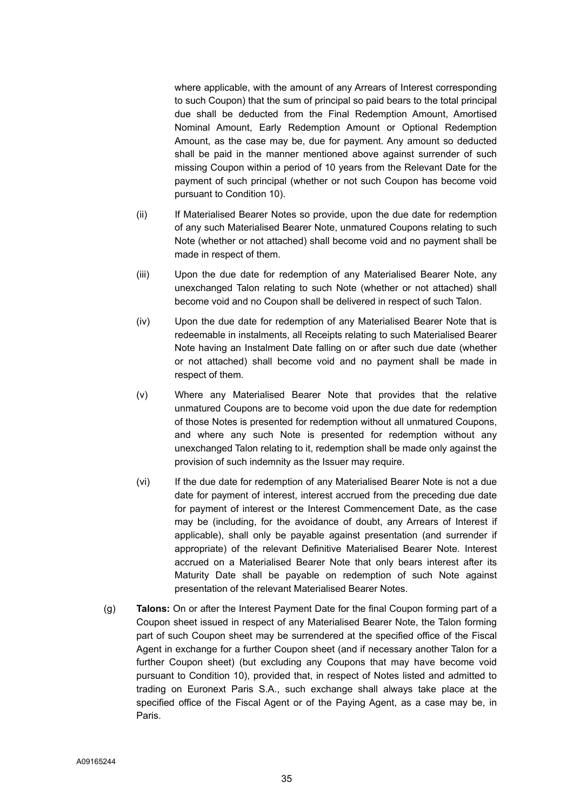where applicable, with the amount of any Arrears of Interest corresponding to such Coupon) that the sum of principal so paid bears to the total principal due shall be deducted from the Final Redemption Amount, Amortised Nominal Amount, Early Redemption Amount or Optional Redemption Amount, as the case may be, due for payment. Any amount so deducted shall be paid in the manner mentioned above against surrender of such missing Coupon within a period of 10 years from the Relevant Date for the payment of such principal (whether or not such Coupon has become void pursuant to Condition 10).

- (ii) If Materialised Bearer Notes so provide, upon the due date for redemption of any such Materialised Bearer Note, unmatured Coupons relating to such Note (whether or not attached) shall become void and no payment shall be made in respect of them.
- (iii) Upon the due date for redemption of any Materialised Bearer Note, any unexchanged Talon relating to such Note (whether or not attached) shall become void and no Coupon shall be delivered in respect of such Talon.
- (iv) Upon the due date for redemption of any Materialised Bearer Note that is redeemable in instalments, all Receipts relating to such Materialised Bearer Note having an Instalment Date falling on or after such due date (whether or not attached) shall become void and no payment shall be made in respect of them.
- (v) Where any Materialised Bearer Note that provides that the relative unmatured Coupons are to become void upon the due date for redemption of those Notes is presented for redemption without all unmatured Coupons, and where any such Note is presented for redemption without any unexchanged Talon relating to it, redemption shall be made only against the provision of such indemnity as the Issuer may require.
- (vi) If the due date for redemption of any Materialised Bearer Note is not a due date for payment of interest, interest accrued from the preceding due date for payment of interest or the Interest Commencement Date, as the case may be (including, for the avoidance of doubt, any Arrears of Interest if applicable), shall only be payable against presentation (and surrender if appropriate) of the relevant Definitive Materialised Bearer Note. Interest accrued on a Materialised Bearer Note that only bears interest after its Maturity Date shall be payable on redemption of such Note against presentation of the relevant Materialised Bearer Notes.
- (g) **Talons:** On or after the Interest Payment Date for the final Coupon forming part of a Coupon sheet issued in respect of any Materialised Bearer Note, the Talon forming part of such Coupon sheet may be surrendered at the specified office of the Fiscal Agent in exchange for a further Coupon sheet (and if necessary another Talon for a further Coupon sheet) (but excluding any Coupons that may have become void pursuant to Condition 10), provided that, in respect of Notes listed and admitted to trading on Euronext Paris S.A., such exchange shall always take place at the specified office of the Fiscal Agent or of the Paying Agent, as a case may be, in Paris.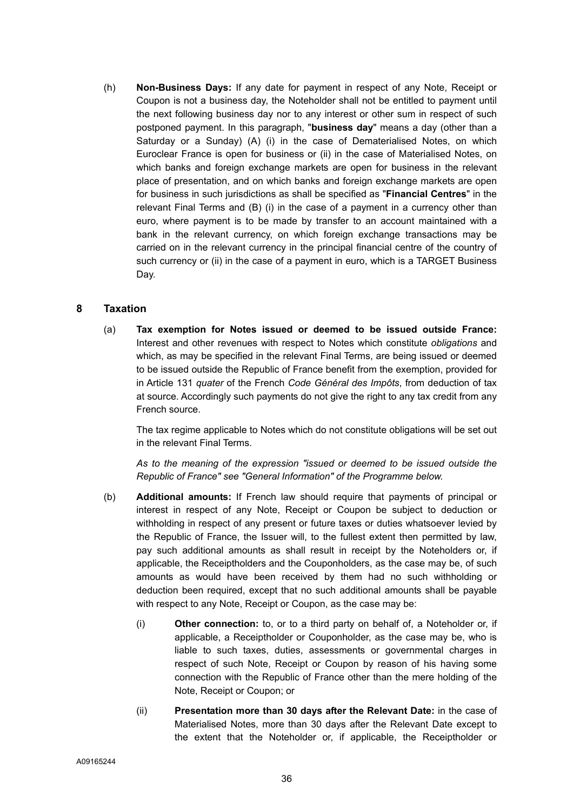(h) **Non-Business Days:** If any date for payment in respect of any Note, Receipt or Coupon is not a business day, the Noteholder shall not be entitled to payment until the next following business day nor to any interest or other sum in respect of such postponed payment. In this paragraph, "**business day**" means a day (other than a Saturday or a Sunday) (A) (i) in the case of Dematerialised Notes, on which Euroclear France is open for business or (ii) in the case of Materialised Notes, on which banks and foreign exchange markets are open for business in the relevant place of presentation, and on which banks and foreign exchange markets are open for business in such jurisdictions as shall be specified as "**Financial Centres**" in the relevant Final Terms and (B) (i) in the case of a payment in a currency other than euro, where payment is to be made by transfer to an account maintained with a bank in the relevant currency, on which foreign exchange transactions may be carried on in the relevant currency in the principal financial centre of the country of such currency or (ii) in the case of a payment in euro, which is a TARGET Business Day.

# **8 Taxation**

(a) **Tax exemption for Notes issued or deemed to be issued outside France:** Interest and other revenues with respect to Notes which constitute *obligations* and which, as may be specified in the relevant Final Terms, are being issued or deemed to be issued outside the Republic of France benefit from the exemption, provided for in Article 131 *quater* of the French *Code Général des Impôts*, from deduction of tax at source. Accordingly such payments do not give the right to any tax credit from any French source.

The tax regime applicable to Notes which do not constitute obligations will be set out in the relevant Final Terms.

*As to the meaning of the expression "issued or deemed to be issued outside the Republic of France" see "General Information" of the Programme below.* 

- (b) **Additional amounts:** If French law should require that payments of principal or interest in respect of any Note, Receipt or Coupon be subject to deduction or withholding in respect of any present or future taxes or duties whatsoever levied by the Republic of France, the Issuer will, to the fullest extent then permitted by law, pay such additional amounts as shall result in receipt by the Noteholders or, if applicable, the Receiptholders and the Couponholders, as the case may be, of such amounts as would have been received by them had no such withholding or deduction been required, except that no such additional amounts shall be payable with respect to any Note, Receipt or Coupon, as the case may be:
	- (i) **Other connection:** to, or to a third party on behalf of, a Noteholder or, if applicable, a Receiptholder or Couponholder, as the case may be, who is liable to such taxes, duties, assessments or governmental charges in respect of such Note, Receipt or Coupon by reason of his having some connection with the Republic of France other than the mere holding of the Note, Receipt or Coupon; or
	- (ii) **Presentation more than 30 days after the Relevant Date:** in the case of Materialised Notes, more than 30 days after the Relevant Date except to the extent that the Noteholder or, if applicable, the Receiptholder or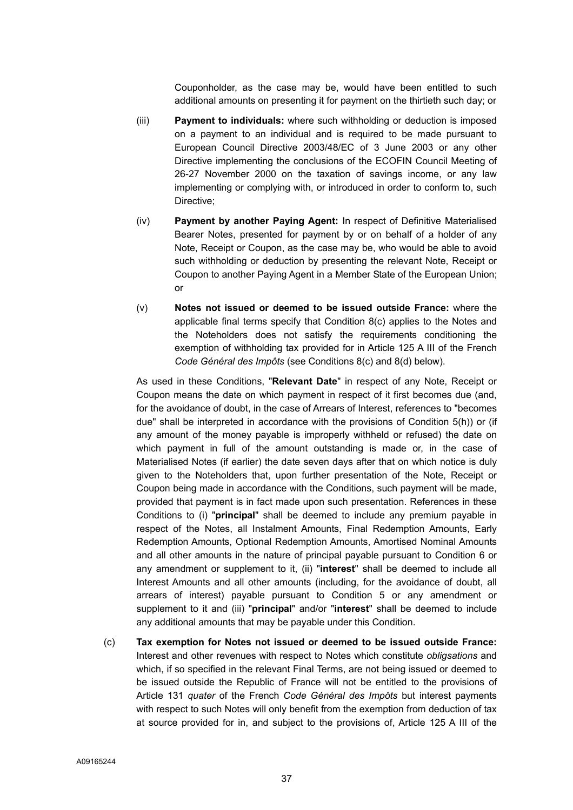Couponholder, as the case may be, would have been entitled to such additional amounts on presenting it for payment on the thirtieth such day; or

- (iii) **Payment to individuals:** where such withholding or deduction is imposed on a payment to an individual and is required to be made pursuant to European Council Directive 2003/48/EC of 3 June 2003 or any other Directive implementing the conclusions of the ECOFIN Council Meeting of 26-27 November 2000 on the taxation of savings income, or any law implementing or complying with, or introduced in order to conform to, such Directive;
- (iv) **Payment by another Paying Agent:** In respect of Definitive Materialised Bearer Notes, presented for payment by or on behalf of a holder of any Note, Receipt or Coupon, as the case may be, who would be able to avoid such withholding or deduction by presenting the relevant Note, Receipt or Coupon to another Paying Agent in a Member State of the European Union; or
- (v) **Notes not issued or deemed to be issued outside France:** where the applicable final terms specify that Condition 8(c) applies to the Notes and the Noteholders does not satisfy the requirements conditioning the exemption of withholding tax provided for in Article 125 A III of the French *Code Général des Impôts* (see Conditions 8(c) and 8(d) below).

As used in these Conditions, "**Relevant Date**" in respect of any Note, Receipt or Coupon means the date on which payment in respect of it first becomes due (and, for the avoidance of doubt, in the case of Arrears of Interest, references to "becomes due" shall be interpreted in accordance with the provisions of Condition 5(h)) or (if any amount of the money payable is improperly withheld or refused) the date on which payment in full of the amount outstanding is made or, in the case of Materialised Notes (if earlier) the date seven days after that on which notice is duly given to the Noteholders that, upon further presentation of the Note, Receipt or Coupon being made in accordance with the Conditions, such payment will be made, provided that payment is in fact made upon such presentation. References in these Conditions to (i) "**principal**" shall be deemed to include any premium payable in respect of the Notes, all Instalment Amounts, Final Redemption Amounts, Early Redemption Amounts, Optional Redemption Amounts, Amortised Nominal Amounts and all other amounts in the nature of principal payable pursuant to Condition 6 or any amendment or supplement to it, (ii) "**interest**" shall be deemed to include all Interest Amounts and all other amounts (including, for the avoidance of doubt, all arrears of interest) payable pursuant to Condition 5 or any amendment or supplement to it and (iii) "**principal**" and/or "**interest**" shall be deemed to include any additional amounts that may be payable under this Condition.

(c) **Tax exemption for Notes not issued or deemed to be issued outside France:** Interest and other revenues with respect to Notes which constitute *obligsations* and which, if so specified in the relevant Final Terms, are not being issued or deemed to be issued outside the Republic of France will not be entitled to the provisions of Article 131 *quater* of the French *Code Général des Impôts* but interest payments with respect to such Notes will only benefit from the exemption from deduction of tax at source provided for in, and subject to the provisions of, Article 125 A III of the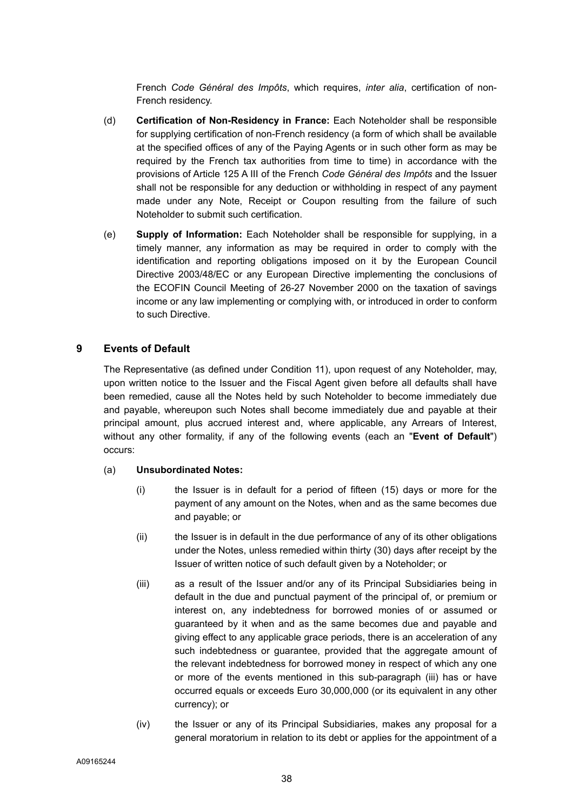French *Code Général des Impôts*, which requires, *inter alia*, certification of non-French residency.

- (d) **Certification of Non-Residency in France:** Each Noteholder shall be responsible for supplying certification of non-French residency (a form of which shall be available at the specified offices of any of the Paying Agents or in such other form as may be required by the French tax authorities from time to time) in accordance with the provisions of Article 125 A III of the French *Code Général des Impôts* and the Issuer shall not be responsible for any deduction or withholding in respect of any payment made under any Note, Receipt or Coupon resulting from the failure of such Noteholder to submit such certification.
- (e) **Supply of Information:** Each Noteholder shall be responsible for supplying, in a timely manner, any information as may be required in order to comply with the identification and reporting obligations imposed on it by the European Council Directive 2003/48/EC or any European Directive implementing the conclusions of the ECOFIN Council Meeting of 26-27 November 2000 on the taxation of savings income or any law implementing or complying with, or introduced in order to conform to such Directive.

# **9 Events of Default**

The Representative (as defined under Condition 11), upon request of any Noteholder, may, upon written notice to the Issuer and the Fiscal Agent given before all defaults shall have been remedied, cause all the Notes held by such Noteholder to become immediately due and payable, whereupon such Notes shall become immediately due and payable at their principal amount, plus accrued interest and, where applicable, any Arrears of Interest, without any other formality, if any of the following events (each an "**Event of Default**") occurs:

## (a) **Unsubordinated Notes:**

- (i) the Issuer is in default for a period of fifteen (15) days or more for the payment of any amount on the Notes, when and as the same becomes due and payable; or
- (ii) the Issuer is in default in the due performance of any of its other obligations under the Notes, unless remedied within thirty (30) days after receipt by the Issuer of written notice of such default given by a Noteholder; or
- (iii) as a result of the Issuer and/or any of its Principal Subsidiaries being in default in the due and punctual payment of the principal of, or premium or interest on, any indebtedness for borrowed monies of or assumed or guaranteed by it when and as the same becomes due and payable and giving effect to any applicable grace periods, there is an acceleration of any such indebtedness or guarantee, provided that the aggregate amount of the relevant indebtedness for borrowed money in respect of which any one or more of the events mentioned in this sub-paragraph (iii) has or have occurred equals or exceeds Euro 30,000,000 (or its equivalent in any other currency); or
- (iv) the Issuer or any of its Principal Subsidiaries, makes any proposal for a general moratorium in relation to its debt or applies for the appointment of a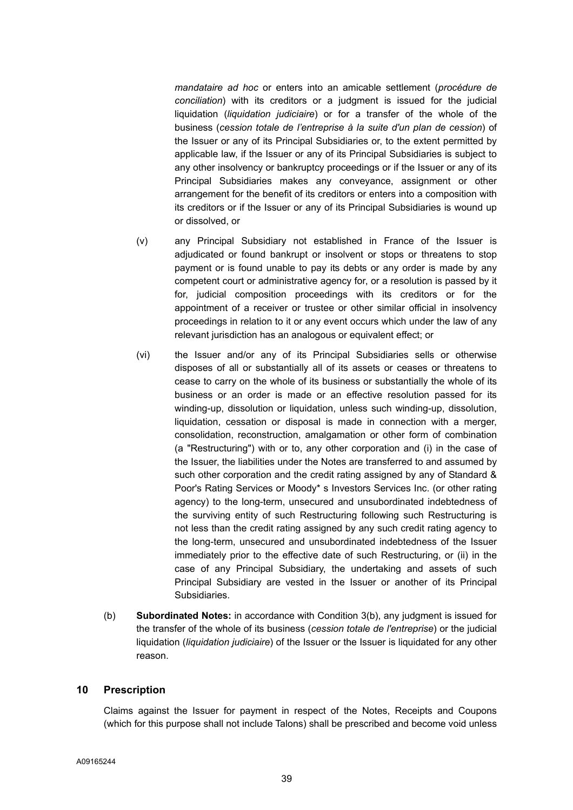*mandataire ad hoc* or enters into an amicable settlement (*procédure de conciliation*) with its creditors or a judgment is issued for the judicial liquidation (*liquidation judiciaire*) or for a transfer of the whole of the business (*cession totale de l'entreprise à la suite d'un plan de cession*) of the Issuer or any of its Principal Subsidiaries or, to the extent permitted by applicable law, if the Issuer or any of its Principal Subsidiaries is subject to any other insolvency or bankruptcy proceedings or if the Issuer or any of its Principal Subsidiaries makes any conveyance, assignment or other arrangement for the benefit of its creditors or enters into a composition with its creditors or if the Issuer or any of its Principal Subsidiaries is wound up or dissolved, or

- (v) any Principal Subsidiary not established in France of the Issuer is adjudicated or found bankrupt or insolvent or stops or threatens to stop payment or is found unable to pay its debts or any order is made by any competent court or administrative agency for, or a resolution is passed by it for, judicial composition proceedings with its creditors or for the appointment of a receiver or trustee or other similar official in insolvency proceedings in relation to it or any event occurs which under the law of any relevant jurisdiction has an analogous or equivalent effect; or
- (vi) the Issuer and/or any of its Principal Subsidiaries sells or otherwise disposes of all or substantially all of its assets or ceases or threatens to cease to carry on the whole of its business or substantially the whole of its business or an order is made or an effective resolution passed for its winding-up, dissolution or liquidation, unless such winding-up, dissolution, liquidation, cessation or disposal is made in connection with a merger, consolidation, reconstruction, amalgamation or other form of combination (a "Restructuring") with or to, any other corporation and (i) in the case of the Issuer, the liabilities under the Notes are transferred to and assumed by such other corporation and the credit rating assigned by any of Standard & Poor's Rating Services or Moody\* s Investors Services Inc. (or other rating agency) to the long-term, unsecured and unsubordinated indebtedness of the surviving entity of such Restructuring following such Restructuring is not less than the credit rating assigned by any such credit rating agency to the long-term, unsecured and unsubordinated indebtedness of the Issuer immediately prior to the effective date of such Restructuring, or (ii) in the case of any Principal Subsidiary, the undertaking and assets of such Principal Subsidiary are vested in the Issuer or another of its Principal Subsidiaries.
- (b) **Subordinated Notes:** in accordance with Condition 3(b), any judgment is issued for the transfer of the whole of its business (*cession totale de l'entreprise*) or the judicial liquidation (*liquidation judiciaire*) of the Issuer or the Issuer is liquidated for any other reason.

## **10 Prescription**

Claims against the Issuer for payment in respect of the Notes, Receipts and Coupons (which for this purpose shall not include Talons) shall be prescribed and become void unless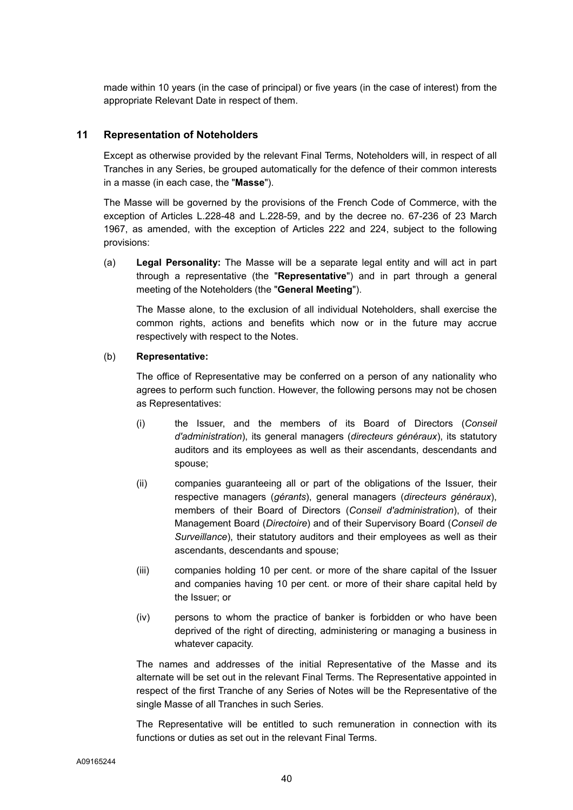made within 10 years (in the case of principal) or five years (in the case of interest) from the appropriate Relevant Date in respect of them.

## **11 Representation of Noteholders**

Except as otherwise provided by the relevant Final Terms, Noteholders will, in respect of all Tranches in any Series, be grouped automatically for the defence of their common interests in a masse (in each case, the "**Masse**").

The Masse will be governed by the provisions of the French Code of Commerce, with the exception of Articles L.228-48 and L.228-59, and by the decree no. 67-236 of 23 March 1967, as amended, with the exception of Articles 222 and 224, subject to the following provisions:

(a) **Legal Personality:** The Masse will be a separate legal entity and will act in part through a representative (the "**Representative**") and in part through a general meeting of the Noteholders (the "**General Meeting**").

The Masse alone, to the exclusion of all individual Noteholders, shall exercise the common rights, actions and benefits which now or in the future may accrue respectively with respect to the Notes.

## (b) **Representative:**

The office of Representative may be conferred on a person of any nationality who agrees to perform such function. However, the following persons may not be chosen as Representatives:

- (i) the Issuer, and the members of its Board of Directors (*Conseil d'administration*), its general managers (*directeurs généraux*), its statutory auditors and its employees as well as their ascendants, descendants and spouse;
- (ii) companies guaranteeing all or part of the obligations of the Issuer, their respective managers (*gérants*), general managers (*directeurs généraux*), members of their Board of Directors (*Conseil d'administration*), of their Management Board (*Directoire*) and of their Supervisory Board (*Conseil de Surveillance*), their statutory auditors and their employees as well as their ascendants, descendants and spouse;
- (iii) companies holding 10 per cent. or more of the share capital of the Issuer and companies having 10 per cent. or more of their share capital held by the Issuer; or
- (iv) persons to whom the practice of banker is forbidden or who have been deprived of the right of directing, administering or managing a business in whatever capacity.

The names and addresses of the initial Representative of the Masse and its alternate will be set out in the relevant Final Terms. The Representative appointed in respect of the first Tranche of any Series of Notes will be the Representative of the single Masse of all Tranches in such Series.

The Representative will be entitled to such remuneration in connection with its functions or duties as set out in the relevant Final Terms.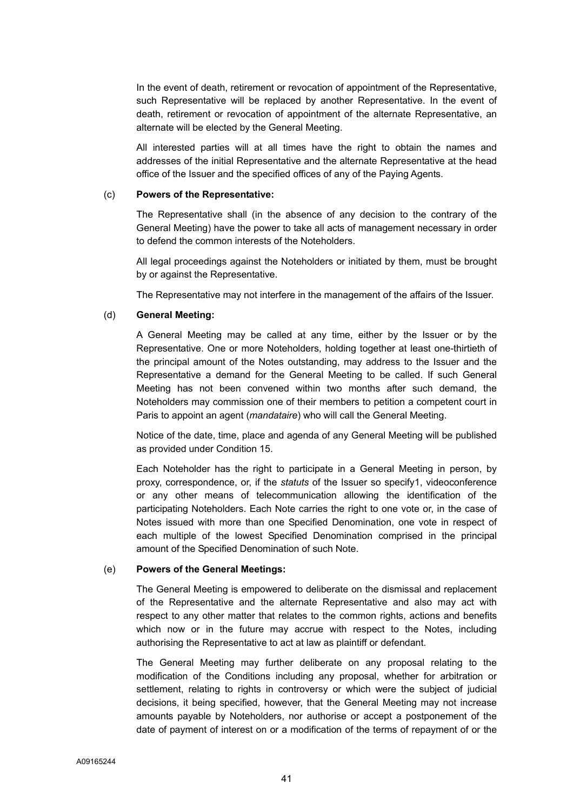In the event of death, retirement or revocation of appointment of the Representative, such Representative will be replaced by another Representative. In the event of death, retirement or revocation of appointment of the alternate Representative, an alternate will be elected by the General Meeting.

All interested parties will at all times have the right to obtain the names and addresses of the initial Representative and the alternate Representative at the head office of the Issuer and the specified offices of any of the Paying Agents.

#### (c) **Powers of the Representative:**

The Representative shall (in the absence of any decision to the contrary of the General Meeting) have the power to take all acts of management necessary in order to defend the common interests of the Noteholders.

All legal proceedings against the Noteholders or initiated by them, must be brought by or against the Representative.

The Representative may not interfere in the management of the affairs of the Issuer.

#### (d) **General Meeting:**

A General Meeting may be called at any time, either by the Issuer or by the Representative. One or more Noteholders, holding together at least one-thirtieth of the principal amount of the Notes outstanding, may address to the Issuer and the Representative a demand for the General Meeting to be called. If such General Meeting has not been convened within two months after such demand, the Noteholders may commission one of their members to petition a competent court in Paris to appoint an agent (*mandataire*) who will call the General Meeting.

Notice of the date, time, place and agenda of any General Meeting will be published as provided under Condition 15.

Each Noteholder has the right to participate in a General Meeting in person, by proxy, correspondence, or, if the *statuts* of the Issuer so specify1, videoconference or any other means of telecommunication allowing the identification of the participating Noteholders. Each Note carries the right to one vote or, in the case of Notes issued with more than one Specified Denomination, one vote in respect of each multiple of the lowest Specified Denomination comprised in the principal amount of the Specified Denomination of such Note.

#### (e) **Powers of the General Meetings:**

The General Meeting is empowered to deliberate on the dismissal and replacement of the Representative and the alternate Representative and also may act with respect to any other matter that relates to the common rights, actions and benefits which now or in the future may accrue with respect to the Notes, including authorising the Representative to act at law as plaintiff or defendant.

The General Meeting may further deliberate on any proposal relating to the modification of the Conditions including any proposal, whether for arbitration or settlement, relating to rights in controversy or which were the subject of judicial decisions, it being specified, however, that the General Meeting may not increase amounts payable by Noteholders, nor authorise or accept a postponement of the date of payment of interest on or a modification of the terms of repayment of or the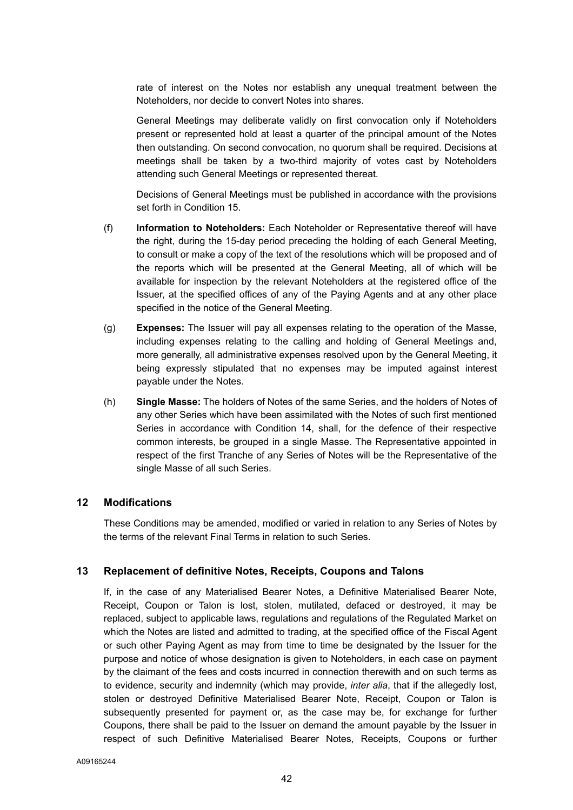rate of interest on the Notes nor establish any unequal treatment between the Noteholders, nor decide to convert Notes into shares.

General Meetings may deliberate validly on first convocation only if Noteholders present or represented hold at least a quarter of the principal amount of the Notes then outstanding. On second convocation, no quorum shall be required. Decisions at meetings shall be taken by a two-third majority of votes cast by Noteholders attending such General Meetings or represented thereat.

Decisions of General Meetings must be published in accordance with the provisions set forth in Condition 15.

- (f) **Information to Noteholders:** Each Noteholder or Representative thereof will have the right, during the 15-day period preceding the holding of each General Meeting, to consult or make a copy of the text of the resolutions which will be proposed and of the reports which will be presented at the General Meeting, all of which will be available for inspection by the relevant Noteholders at the registered office of the Issuer, at the specified offices of any of the Paying Agents and at any other place specified in the notice of the General Meeting.
- (g) **Expenses:** The Issuer will pay all expenses relating to the operation of the Masse, including expenses relating to the calling and holding of General Meetings and, more generally, all administrative expenses resolved upon by the General Meeting, it being expressly stipulated that no expenses may be imputed against interest payable under the Notes.
- (h) **Single Masse:** The holders of Notes of the same Series, and the holders of Notes of any other Series which have been assimilated with the Notes of such first mentioned Series in accordance with Condition 14, shall, for the defence of their respective common interests, be grouped in a single Masse. The Representative appointed in respect of the first Tranche of any Series of Notes will be the Representative of the single Masse of all such Series.

## **12 Modifications**

These Conditions may be amended, modified or varied in relation to any Series of Notes by the terms of the relevant Final Terms in relation to such Series.

## **13 Replacement of definitive Notes, Receipts, Coupons and Talons**

If, in the case of any Materialised Bearer Notes, a Definitive Materialised Bearer Note, Receipt, Coupon or Talon is lost, stolen, mutilated, defaced or destroyed, it may be replaced, subject to applicable laws, regulations and regulations of the Regulated Market on which the Notes are listed and admitted to trading, at the specified office of the Fiscal Agent or such other Paying Agent as may from time to time be designated by the Issuer for the purpose and notice of whose designation is given to Noteholders, in each case on payment by the claimant of the fees and costs incurred in connection therewith and on such terms as to evidence, security and indemnity (which may provide, *inter alia*, that if the allegedly lost, stolen or destroyed Definitive Materialised Bearer Note, Receipt, Coupon or Talon is subsequently presented for payment or, as the case may be, for exchange for further Coupons, there shall be paid to the Issuer on demand the amount payable by the Issuer in respect of such Definitive Materialised Bearer Notes, Receipts, Coupons or further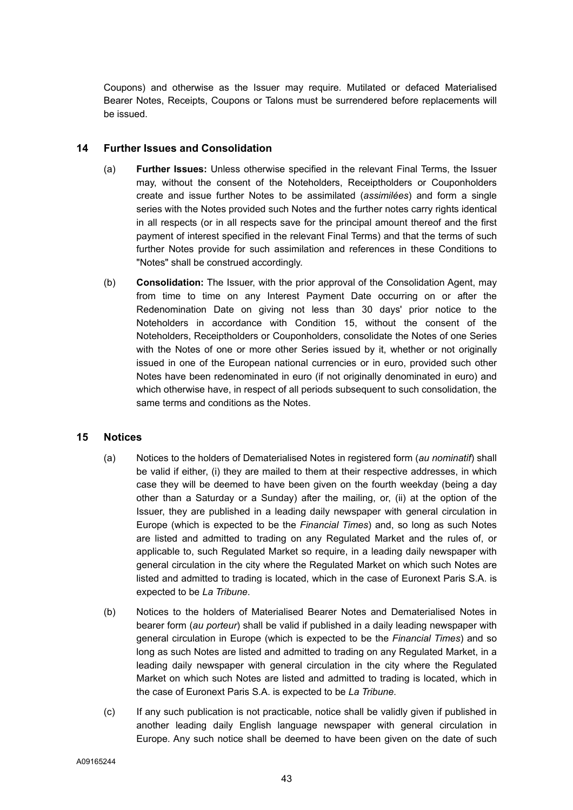Coupons) and otherwise as the Issuer may require. Mutilated or defaced Materialised Bearer Notes, Receipts, Coupons or Talons must be surrendered before replacements will be issued.

# **14 Further Issues and Consolidation**

- (a) **Further Issues:** Unless otherwise specified in the relevant Final Terms, the Issuer may, without the consent of the Noteholders, Receiptholders or Couponholders create and issue further Notes to be assimilated (*assimilées*) and form a single series with the Notes provided such Notes and the further notes carry rights identical in all respects (or in all respects save for the principal amount thereof and the first payment of interest specified in the relevant Final Terms) and that the terms of such further Notes provide for such assimilation and references in these Conditions to "Notes" shall be construed accordingly.
- (b) **Consolidation:** The Issuer, with the prior approval of the Consolidation Agent, may from time to time on any Interest Payment Date occurring on or after the Redenomination Date on giving not less than 30 days' prior notice to the Noteholders in accordance with Condition 15, without the consent of the Noteholders, Receiptholders or Couponholders, consolidate the Notes of one Series with the Notes of one or more other Series issued by it, whether or not originally issued in one of the European national currencies or in euro, provided such other Notes have been redenominated in euro (if not originally denominated in euro) and which otherwise have, in respect of all periods subsequent to such consolidation, the same terms and conditions as the Notes.

## **15 Notices**

- (a) Notices to the holders of Dematerialised Notes in registered form (*au nominatif*) shall be valid if either, (i) they are mailed to them at their respective addresses, in which case they will be deemed to have been given on the fourth weekday (being a day other than a Saturday or a Sunday) after the mailing, or, (ii) at the option of the Issuer, they are published in a leading daily newspaper with general circulation in Europe (which is expected to be the *Financial Times*) and, so long as such Notes are listed and admitted to trading on any Regulated Market and the rules of, or applicable to, such Regulated Market so require, in a leading daily newspaper with general circulation in the city where the Regulated Market on which such Notes are listed and admitted to trading is located, which in the case of Euronext Paris S.A. is expected to be *La Tribune*.
- (b) Notices to the holders of Materialised Bearer Notes and Dematerialised Notes in bearer form (*au porteur*) shall be valid if published in a daily leading newspaper with general circulation in Europe (which is expected to be the *Financial Times*) and so long as such Notes are listed and admitted to trading on any Regulated Market, in a leading daily newspaper with general circulation in the city where the Regulated Market on which such Notes are listed and admitted to trading is located, which in the case of Euronext Paris S.A. is expected to be *La Tribune*.
- (c) If any such publication is not practicable, notice shall be validly given if published in another leading daily English language newspaper with general circulation in Europe. Any such notice shall be deemed to have been given on the date of such